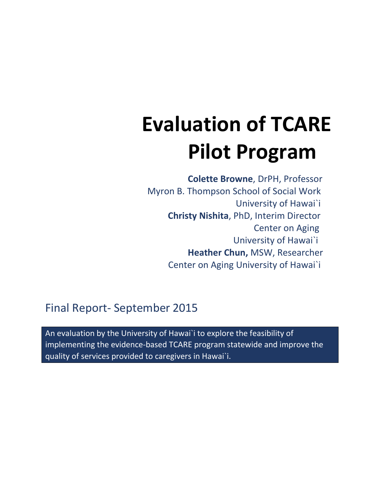# **Evaluation of TCARE Pilot Program**

 **Colette Browne**, DrPH, Professor Myron B. Thompson School of Social Work University of Hawai`i **Christy Nishita**, PhD, Interim Director Center on Aging University of Hawai`i **Heather Chun,** MSW, Researcher Center on Aging University of Hawai`i

## Final Report- September 2015

An evaluation by the University of Hawai`i to explore the feasibility of implementing the evidence-based TCARE program statewide and improve the quality of services provided to caregivers in Hawai`i.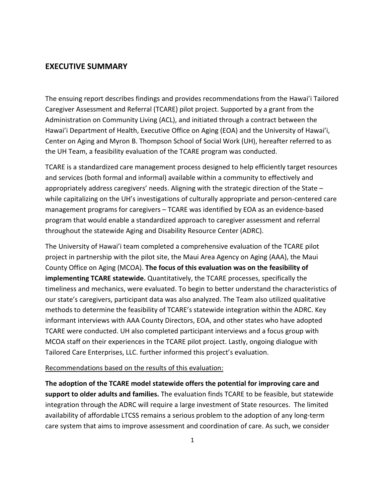## **EXECUTIVE SUMMARY**

The ensuing report describes findings and provides recommendations from the Hawai'i Tailored Caregiver Assessment and Referral (TCARE) pilot project. Supported by a grant from the Administration on Community Living (ACL), and initiated through a contract between the Hawai'i Department of Health, Executive Office on Aging (EOA) and the University of Hawai'i, Center on Aging and Myron B. Thompson School of Social Work (UH), hereafter referred to as the UH Team, a feasibility evaluation of the TCARE program was conducted.

TCARE is a standardized care management process designed to help efficiently target resources and services (both formal and informal) available within a community to effectively and appropriately address caregivers' needs. Aligning with the strategic direction of the State – while capitalizing on the UH's investigations of culturally appropriate and person-centered care management programs for caregivers – TCARE was identified by EOA as an evidence-based program that would enable a standardized approach to caregiver assessment and referral throughout the statewide Aging and Disability Resource Center (ADRC).

The University of Hawai'i team completed a comprehensive evaluation of the TCARE pilot project in partnership with the pilot site, the Maui Area Agency on Aging (AAA), the Maui County Office on Aging (MCOA). **The focus of this evaluation was on the feasibility of implementing TCARE statewide.** Quantitatively, the TCARE processes, specifically the timeliness and mechanics, were evaluated. To begin to better understand the characteristics of our state's caregivers, participant data was also analyzed. The Team also utilized qualitative methods to determine the feasibility of TCARE's statewide integration within the ADRC. Key informant interviews with AAA County Directors, EOA, and other states who have adopted TCARE were conducted. UH also completed participant interviews and a focus group with MCOA staff on their experiences in the TCARE pilot project. Lastly, ongoing dialogue with Tailored Care Enterprises, LLC. further informed this project's evaluation.

#### Recommendations based on the results of this evaluation:

**The adoption of the TCARE model statewide offers the potential for improving care and support to older adults and families.** The evaluation finds TCARE to be feasible, but statewide integration through the ADRC will require a large investment of State resources. The limited availability of affordable LTCSS remains a serious problem to the adoption of any long-term care system that aims to improve assessment and coordination of care. As such, we consider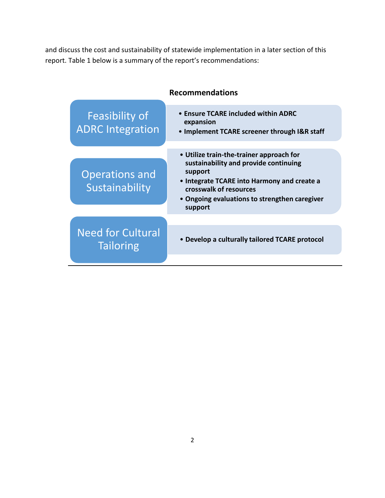and discuss the cost and sustainability of statewide implementation in a later section of this report. Table 1 below is a summary of the report's recommendations:

| <b>Recommendations</b>                       |                                                                                                                                                                                                                                   |  |
|----------------------------------------------|-----------------------------------------------------------------------------------------------------------------------------------------------------------------------------------------------------------------------------------|--|
| Feasibility of<br><b>ADRC</b> Integration    | • Ensure TCARE included within ADRC<br>expansion<br>• Implement TCARE screener through I&R staff                                                                                                                                  |  |
| <b>Operations and</b><br>Sustainability      | • Utilize train-the-trainer approach for<br>sustainability and provide continuing<br>support<br>• Integrate TCARE into Harmony and create a<br>crosswalk of resources<br>• Ongoing evaluations to strengthen caregiver<br>support |  |
| <b>Need for Cultural</b><br><b>Tailoring</b> | • Develop a culturally tailored TCARE protocol                                                                                                                                                                                    |  |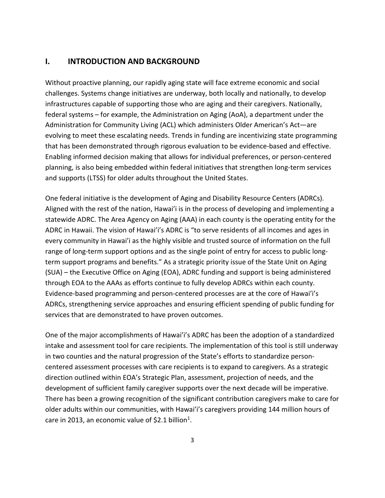## **I. INTRODUCTION AND BACKGROUND**

Without proactive planning, our rapidly aging state will face extreme economic and social challenges. Systems change initiatives are underway, both locally and nationally, to develop infrastructures capable of supporting those who are aging and their caregivers. Nationally, federal systems – for example, the Administration on Aging (AoA), a department under the Administration for Community Living (ACL) which administers Older American's Act—are evolving to meet these escalating needs. Trends in funding are incentivizing state programming that has been demonstrated through rigorous evaluation to be evidence-based and effective. Enabling informed decision making that allows for individual preferences, or person-centered planning, is also being embedded within federal initiatives that strengthen long-term services and supports (LTSS) for older adults throughout the United States.

One federal initiative is the development of Aging and Disability Resource Centers (ADRCs). Aligned with the rest of the nation, Hawai'i is in the process of developing and implementing a statewide ADRC. The Area Agency on Aging (AAA) in each county is the operating entity for the ADRC in Hawaii. The vision of Hawai'i's ADRC is "to serve residents of all incomes and ages in every community in Hawai'i as the highly visible and trusted source of information on the full range of long-term support options and as the single point of entry for access to public longterm support programs and benefits." As a strategic priority issue of the State Unit on Aging (SUA) – the Executive Office on Aging (EOA), ADRC funding and support is being administered through EOA to the AAAs as efforts continue to fully develop ADRCs within each county. Evidence-based programming and person-centered processes are at the core of Hawai'i's ADRCs, strengthening service approaches and ensuring efficient spending of public funding for services that are demonstrated to have proven outcomes.

One of the major accomplishments of Hawai'i's ADRC has been the adoption of a standardized intake and assessment tool for care recipients. The implementation of this tool is still underway in two counties and the natural progression of the State's efforts to standardize personcentered assessment processes with care recipients is to expand to caregivers. As a strategic direction outlined within EOA's Strategic Plan, assessment, projection of needs, and the development of sufficient family caregiver supports over the next decade will be imperative. There has been a growing recognition of the significant contribution caregivers make to care for older adults within our communities, with Hawai'i's caregivers providing 144 million hours of care in 2013, an economic value of \$2.1 billion<sup>1</sup>.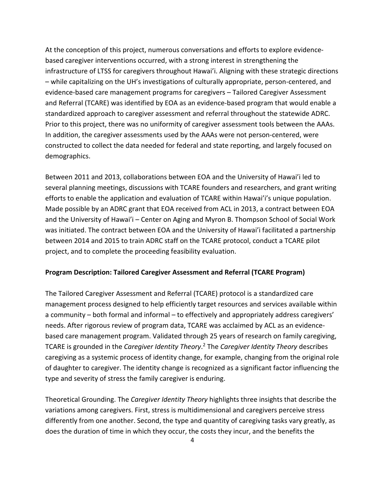At the conception of this project, numerous conversations and efforts to explore evidencebased caregiver interventions occurred, with a strong interest in strengthening the infrastructure of LTSS for caregivers throughout Hawai'i. Aligning with these strategic directions – while capitalizing on the UH's investigations of culturally appropriate, person-centered, and evidence-based care management programs for caregivers – Tailored Caregiver Assessment and Referral (TCARE) was identified by EOA as an evidence-based program that would enable a standardized approach to caregiver assessment and referral throughout the statewide ADRC. Prior to this project, there was no uniformity of caregiver assessment tools between the AAAs. In addition, the caregiver assessments used by the AAAs were not person-centered, were constructed to collect the data needed for federal and state reporting, and largely focused on demographics.

Between 2011 and 2013, collaborations between EOA and the University of Hawai'i led to several planning meetings, discussions with TCARE founders and researchers, and grant writing efforts to enable the application and evaluation of TCARE within Hawai'i's unique population. Made possible by an ADRC grant that EOA received from ACL in 2013, a contract between EOA and the University of Hawai'i – Center on Aging and Myron B. Thompson School of Social Work was initiated. The contract between EOA and the University of Hawai'i facilitated a partnership between 2014 and 2015 to train ADRC staff on the TCARE protocol, conduct a TCARE pilot project, and to complete the proceeding feasibility evaluation.

#### **Program Description: Tailored Caregiver Assessment and Referral (TCARE Program)**

The Tailored Caregiver Assessment and Referral (TCARE) protocol is a standardized care management process designed to help efficiently target resources and services available within a community – both formal and informal – to effectively and appropriately address caregivers' needs. After rigorous review of program data, TCARE was acclaimed by ACL as an evidencebased care management program. Validated through 25 years of research on family caregiving, TCARE is grounded in the *Caregiver Identity Theory*. <sup>2</sup> The *Caregiver Identity Theory* describes caregiving as a systemic process of identity change, for example, changing from the original role of daughter to caregiver. The identity change is recognized as a significant factor influencing the type and severity of stress the family caregiver is enduring.

Theoretical Grounding. The *Caregiver Identity Theory* highlights three insights that describe the variations among caregivers. First, stress is multidimensional and caregivers perceive stress differently from one another. Second, the type and quantity of caregiving tasks vary greatly, as does the duration of time in which they occur, the costs they incur, and the benefits the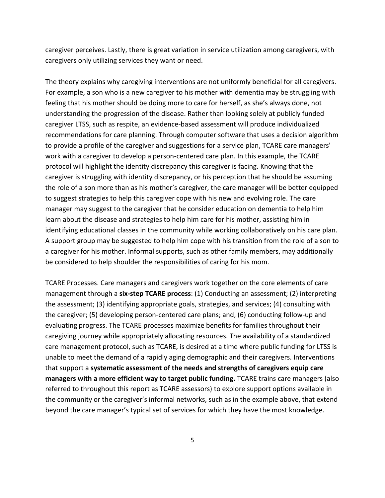caregiver perceives. Lastly, there is great variation in service utilization among caregivers, with caregivers only utilizing services they want or need.

The theory explains why caregiving interventions are not uniformly beneficial for all caregivers. For example, a son who is a new caregiver to his mother with dementia may be struggling with feeling that his mother should be doing more to care for herself, as she's always done, not understanding the progression of the disease. Rather than looking solely at publicly funded caregiver LTSS, such as respite, an evidence-based assessment will produce individualized recommendations for care planning. Through computer software that uses a decision algorithm to provide a profile of the caregiver and suggestions for a service plan, TCARE care managers' work with a caregiver to develop a person-centered care plan. In this example, the TCARE protocol will highlight the identity discrepancy this caregiver is facing. Knowing that the caregiver is struggling with identity discrepancy, or his perception that he should be assuming the role of a son more than as his mother's caregiver, the care manager will be better equipped to suggest strategies to help this caregiver cope with his new and evolving role. The care manager may suggest to the caregiver that he consider education on dementia to help him learn about the disease and strategies to help him care for his mother, assisting him in identifying educational classes in the community while working collaboratively on his care plan. A support group may be suggested to help him cope with his transition from the role of a son to a caregiver for his mother. Informal supports, such as other family members, may additionally be considered to help shoulder the responsibilities of caring for his mom.

TCARE Processes. Care managers and caregivers work together on the core elements of care management through a **six-step TCARE process**: (1) Conducting an assessment; (2) interpreting the assessment; (3) identifying appropriate goals, strategies, and services; (4) consulting with the caregiver; (5) developing person-centered care plans; and, (6) conducting follow-up and evaluating progress. The TCARE processes maximize benefits for families throughout their caregiving journey while appropriately allocating resources. The availability of a standardized care management protocol, such as TCARE, is desired at a time where public funding for LTSS is unable to meet the demand of a rapidly aging demographic and their caregivers. Interventions that support a **systematic assessment of the needs and strengths of caregivers equip care managers with a more efficient way to target public funding.** TCARE trains care managers (also referred to throughout this report as TCARE assessors) to explore support options available in the community or the caregiver's informal networks, such as in the example above, that extend beyond the care manager's typical set of services for which they have the most knowledge.

5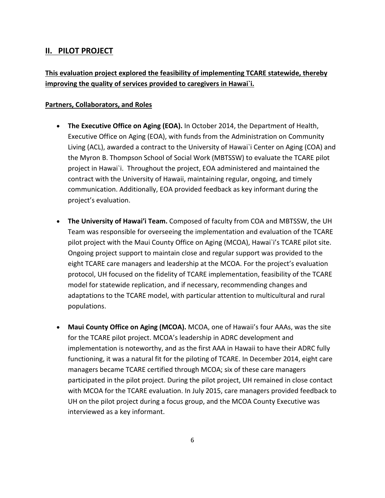## **II. PILOT PROJECT**

## **This evaluation project explored the feasibility of implementing TCARE statewide, thereby improving the quality of services provided to caregivers in Hawai`i.**

#### **Partners, Collaborators, and Roles**

- **The Executive Office on Aging (EOA).** In October 2014, the Department of Health, Executive Office on Aging (EOA), with funds from the Administration on Community Living (ACL), awarded a contract to the University of Hawai`i Center on Aging (COA) and the Myron B. Thompson School of Social Work (MBTSSW) to evaluate the TCARE pilot project in Hawai`i. Throughout the project, EOA administered and maintained the contract with the University of Hawaii, maintaining regular, ongoing, and timely communication. Additionally, EOA provided feedback as key informant during the project's evaluation.
- **The University of Hawai'i Team.** Composed of faculty from COA and MBTSSW, the UH Team was responsible for overseeing the implementation and evaluation of the TCARE pilot project with the Maui County Office on Aging (MCOA), Hawai`i's TCARE pilot site. Ongoing project support to maintain close and regular support was provided to the eight TCARE care managers and leadership at the MCOA. For the project's evaluation protocol, UH focused on the fidelity of TCARE implementation, feasibility of the TCARE model for statewide replication, and if necessary, recommending changes and adaptations to the TCARE model, with particular attention to multicultural and rural populations.
- **Maui County Office on Aging (MCOA).** MCOA, one of Hawaii's four AAAs, was the site for the TCARE pilot project. MCOA's leadership in ADRC development and implementation is noteworthy, and as the first AAA in Hawaii to have their ADRC fully functioning, it was a natural fit for the piloting of TCARE. In December 2014, eight care managers became TCARE certified through MCOA; six of these care managers participated in the pilot project. During the pilot project, UH remained in close contact with MCOA for the TCARE evaluation. In July 2015, care managers provided feedback to UH on the pilot project during a focus group, and the MCOA County Executive was interviewed as a key informant.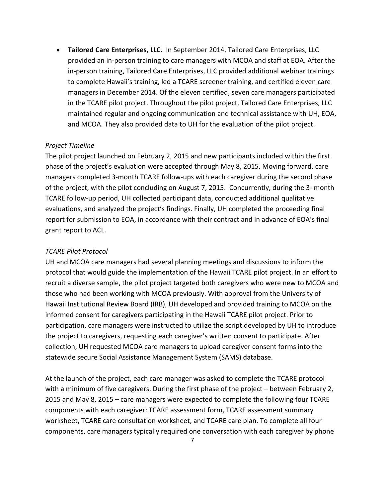• **Tailored Care Enterprises, LLC.** In September 2014, Tailored Care Enterprises, LLC provided an in-person training to care managers with MCOA and staff at EOA. After the in-person training, Tailored Care Enterprises, LLC provided additional webinar trainings to complete Hawaii's training, led a TCARE screener training, and certified eleven care managers in December 2014. Of the eleven certified, seven care managers participated in the TCARE pilot project. Throughout the pilot project, Tailored Care Enterprises, LLC maintained regular and ongoing communication and technical assistance with UH, EOA, and MCOA. They also provided data to UH for the evaluation of the pilot project.

#### *Project Timeline*

The pilot project launched on February 2, 2015 and new participants included within the first phase of the project's evaluation were accepted through May 8, 2015. Moving forward, care managers completed 3-month TCARE follow-ups with each caregiver during the second phase of the project, with the pilot concluding on August 7, 2015. Concurrently, during the 3- month TCARE follow-up period, UH collected participant data, conducted additional qualitative evaluations, and analyzed the project's findings. Finally, UH completed the proceeding final report for submission to EOA, in accordance with their contract and in advance of EOA's final grant report to ACL.

#### *TCARE Pilot Protocol*

UH and MCOA care managers had several planning meetings and discussions to inform the protocol that would guide the implementation of the Hawaii TCARE pilot project. In an effort to recruit a diverse sample, the pilot project targeted both caregivers who were new to MCOA and those who had been working with MCOA previously. With approval from the University of Hawaii Institutional Review Board (IRB), UH developed and provided training to MCOA on the informed consent for caregivers participating in the Hawaii TCARE pilot project. Prior to participation, care managers were instructed to utilize the script developed by UH to introduce the project to caregivers, requesting each caregiver's written consent to participate. After collection, UH requested MCOA care managers to upload caregiver consent forms into the statewide secure Social Assistance Management System (SAMS) database.

At the launch of the project, each care manager was asked to complete the TCARE protocol with a minimum of five caregivers. During the first phase of the project – between February 2, 2015 and May 8, 2015 – care managers were expected to complete the following four TCARE components with each caregiver: TCARE assessment form, TCARE assessment summary worksheet, TCARE care consultation worksheet, and TCARE care plan. To complete all four components, care managers typically required one conversation with each caregiver by phone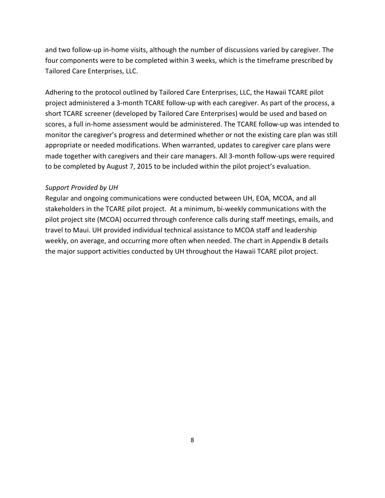and two follow-up in-home visits, although the number of discussions varied by caregiver. The four components were to be completed within 3 weeks, which is the timeframe prescribed by Tailored Care Enterprises, LLC.

Adhering to the protocol outlined by Tailored Care Enterprises, LLC, the Hawaii TCARE pilot project administered a 3-month TCARE follow-up with each caregiver. As part of the process, a short TCARE screener (developed by Tailored Care Enterprises) would be used and based on scores, a full in-home assessment would be administered. The TCARE follow-up was intended to monitor the caregiver's progress and determined whether or not the existing care plan was still appropriate or needed modifications. When warranted, updates to caregiver care plans were made together with caregivers and their care managers. All 3-month follow-ups were required to be completed by August 7, 2015 to be included within the pilot project's evaluation.

#### *Support Provided by UH*

Regular and ongoing communications were conducted between UH, EOA, MCOA, and all stakeholders in the TCARE pilot project. At a minimum, bi-weekly communications with the pilot project site (MCOA) occurred through conference calls during staff meetings, emails, and travel to Maui. UH provided individual technical assistance to MCOA staff and leadership weekly, on average, and occurring more often when needed. The chart in Appendix B details the major support activities conducted by UH throughout the Hawaii TCARE pilot project.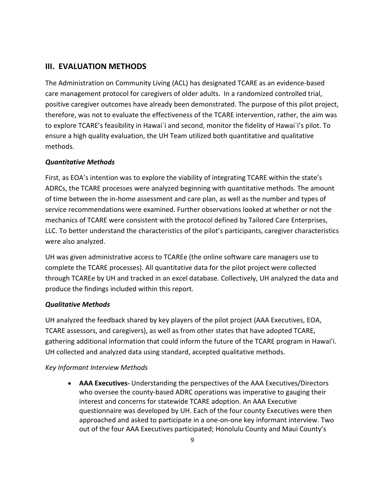## **III. EVALUATION METHODS**

The Administration on Community Living (ACL) has designated TCARE as an evidence-based care management protocol for caregivers of older adults. In a randomized controlled trial, positive caregiver outcomes have already been demonstrated. The purpose of this pilot project, therefore, was not to evaluate the effectiveness of the TCARE intervention, rather, the aim was to explore TCARE's feasibility in Hawai`i and second, monitor the fidelity of Hawai`i's pilot. To ensure a high quality evaluation, the UH Team utilized both quantitative and qualitative methods.

#### *Quantitative Methods*

First, as EOA's intention was to explore the viability of integrating TCARE within the state's ADRCs, the TCARE processes were analyzed beginning with quantitative methods. The amount of time between the in-home assessment and care plan, as well as the number and types of service recommendations were examined. Further observations looked at whether or not the mechanics of TCARE were consistent with the protocol defined by Tailored Care Enterprises, LLC. To better understand the characteristics of the pilot's participants, caregiver characteristics were also analyzed.

UH was given administrative access to TCAREe (the online software care managers use to complete the TCARE processes). All quantitative data for the pilot project were collected through TCAREe by UH and tracked in an excel database. Collectively, UH analyzed the data and produce the findings included within this report.

#### *Qualitative Methods*

UH analyzed the feedback shared by key players of the pilot project (AAA Executives, EOA, TCARE assessors, and caregivers), as well as from other states that have adopted TCARE, gathering additional information that could inform the future of the TCARE program in Hawai'i. UH collected and analyzed data using standard, accepted qualitative methods.

#### *Key Informant Interview Methods*

• **AAA Executives-** Understanding the perspectives of the AAA Executives/Directors who oversee the county-based ADRC operations was imperative to gauging their interest and concerns for statewide TCARE adoption. An AAA Executive questionnaire was developed by UH. Each of the four county Executives were then approached and asked to participate in a one-on-one key informant interview. Two out of the four AAA Executives participated; Honolulu County and Maui County's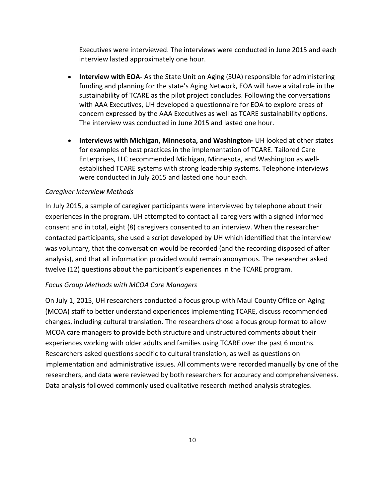Executives were interviewed. The interviews were conducted in June 2015 and each interview lasted approximately one hour.

- **Interview with EOA-** As the State Unit on Aging (SUA) responsible for administering funding and planning for the state's Aging Network, EOA will have a vital role in the sustainability of TCARE as the pilot project concludes. Following the conversations with AAA Executives, UH developed a questionnaire for EOA to explore areas of concern expressed by the AAA Executives as well as TCARE sustainability options. The interview was conducted in June 2015 and lasted one hour.
- **Interviews with Michigan, Minnesota, and Washington-** UH looked at other states for examples of best practices in the implementation of TCARE. Tailored Care Enterprises, LLC recommended Michigan, Minnesota, and Washington as wellestablished TCARE systems with strong leadership systems. Telephone interviews were conducted in July 2015 and lasted one hour each.

#### *Caregiver Interview Methods*

In July 2015, a sample of caregiver participants were interviewed by telephone about their experiences in the program. UH attempted to contact all caregivers with a signed informed consent and in total, eight (8) caregivers consented to an interview. When the researcher contacted participants, she used a script developed by UH which identified that the interview was voluntary, that the conversation would be recorded (and the recording disposed of after analysis), and that all information provided would remain anonymous. The researcher asked twelve (12) questions about the participant's experiences in the TCARE program.

#### *Focus Group Methods with MCOA Care Managers*

On July 1, 2015, UH researchers conducted a focus group with Maui County Office on Aging (MCOA) staff to better understand experiences implementing TCARE, discuss recommended changes, including cultural translation. The researchers chose a focus group format to allow MCOA care managers to provide both structure and unstructured comments about their experiences working with older adults and families using TCARE over the past 6 months. Researchers asked questions specific to cultural translation, as well as questions on implementation and administrative issues. All comments were recorded manually by one of the researchers, and data were reviewed by both researchers for accuracy and comprehensiveness. Data analysis followed commonly used qualitative research method analysis strategies.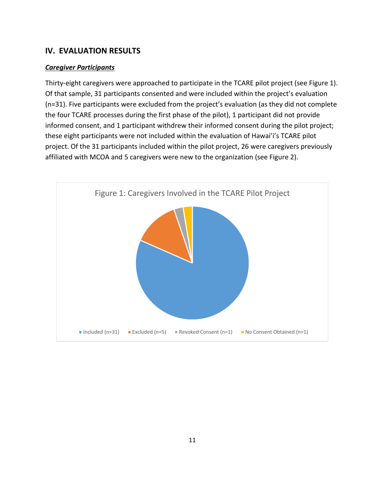## **IV. EVALUATION RESULTS**

#### *Caregiver Participants*

Thirty-eight caregivers were approached to participate in the TCARE pilot project (see Figure 1). Of that sample, 31 participants consented and were included within the project's evaluation (n=31). Five participants were excluded from the project's evaluation (as they did not complete the four TCARE processes during the first phase of the pilot), 1 participant did not provide informed consent, and 1 participant withdrew their informed consent during the pilot project; these eight participants were not included within the evaluation of Hawai'i's TCARE pilot project. Of the 31 participants included within the pilot project, 26 were caregivers previously affiliated with MCOA and 5 caregivers were new to the organization (see Figure 2).

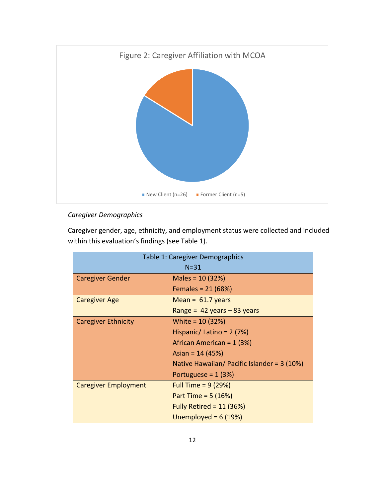

## *Caregiver Demographics*

Caregiver gender, age, ethnicity, and employment status were collected and included within this evaluation's findings (see Table 1).

| Table 1: Caregiver Demographics |                                              |  |
|---------------------------------|----------------------------------------------|--|
| $N = 31$                        |                                              |  |
| <b>Caregiver Gender</b>         | Males = $10(32%)$                            |  |
|                                 | Females = $21(68%)$                          |  |
| <b>Caregiver Age</b>            | Mean = $61.7$ years                          |  |
|                                 | Range = $42$ years $-83$ years               |  |
| <b>Caregiver Ethnicity</b>      | White = $10(32%)$                            |  |
|                                 | Hispanic/ Latino = $2(7%)$                   |  |
|                                 | African American = 1 (3%)                    |  |
|                                 | Asian = $14(45%)$                            |  |
|                                 | Native Hawaiian/ Pacific Islander = $3(10%)$ |  |
|                                 | Portuguese = $1(3%)$                         |  |
| <b>Caregiver Employment</b>     | Full Time = $9(29%)$                         |  |
|                                 | Part Time = $5(16%)$                         |  |
|                                 | Fully Retired = $11$ (36%)                   |  |
|                                 | Unemployed = $6(19%)$                        |  |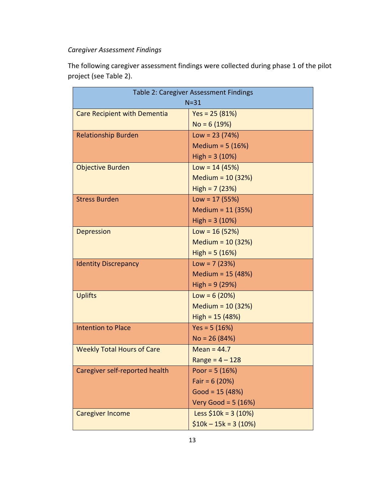## *Caregiver Assessment Findings*

The following caregiver assessment findings were collected during phase 1 of the pilot project (see Table 2).

| Table 2: Caregiver Assessment Findings |                       |  |
|----------------------------------------|-----------------------|--|
| $N = 31$                               |                       |  |
| <b>Care Recipient with Dementia</b>    | $Yes = 25 (81%)$      |  |
|                                        | $No = 6(19%)$         |  |
| <b>Relationship Burden</b>             | $Low = 23 (74%)$      |  |
|                                        | Medium = $5(16%)$     |  |
|                                        | $High = 3 (10%)$      |  |
| <b>Objective Burden</b>                | $Low = 14 (45%)$      |  |
|                                        | Medium = $10(32%)$    |  |
|                                        | $High = 7 (23%)$      |  |
| <b>Stress Burden</b>                   | $Low = 17(55%)$       |  |
|                                        | Medium = $11(35%)$    |  |
|                                        | $High = 3 (10%)$      |  |
| <b>Depression</b>                      | $Low = 16(52%)$       |  |
|                                        | Medium = $10(32%)$    |  |
|                                        | $High = 5 (16%)$      |  |
| <b>Identity Discrepancy</b>            | $Low = 7 (23%)$       |  |
|                                        | Medium = 15 (48%)     |  |
|                                        | High = $9(29%)$       |  |
| <b>Uplifts</b>                         | Low = $6(20%)$        |  |
|                                        | Medium = 10 (32%)     |  |
|                                        | $High = 15 (48%)$     |  |
| <b>Intention to Place</b>              | $Yes = 5(16%)$        |  |
|                                        | $No = 26 (84%)$       |  |
| <b>Weekly Total Hours of Care</b>      | Mean = $44.7$         |  |
|                                        | $Range = 4 - 128$     |  |
| Caregiver self-reported health         | Poor = $5(16%)$       |  |
|                                        | Fair = $6(20%)$       |  |
|                                        | Good = $15(48%)$      |  |
|                                        | Very Good = $5(16%)$  |  |
| <b>Caregiver Income</b>                | Less $$10k = 3 (10%)$ |  |
|                                        | $$10k - 15k = 3(10%)$ |  |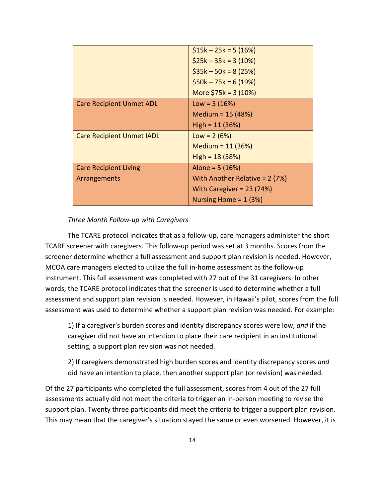|                                  | $$15k - 25k = 5(16%)$          |
|----------------------------------|--------------------------------|
|                                  | $$25k - 35k = 3(10%)$          |
|                                  | $$35k - 50k = 8(25%)$          |
|                                  | $$50k - 75k = 6(19%)$          |
|                                  | More $$75k = 3 (10%)$          |
| <b>Care Recipient Unmet ADL</b>  | Low = $5(16%)$                 |
|                                  | Medium = $15(48%)$             |
|                                  | $High = 11 (36%)$              |
| <b>Care Recipient Unmet IADL</b> | Low = $2(6%)$                  |
|                                  | Medium = $11(36%)$             |
|                                  | High = $18(58%)$               |
| <b>Care Recipient Living</b>     | Alone = $5(16%)$               |
| Arrangements                     | With Another Relative = 2 (7%) |
|                                  | With Caregiver = $23(74%)$     |
|                                  | Nursing Home = $1(3%)$         |

#### *Three Month Follow-up with Caregivers*

The TCARE protocol indicates that as a follow-up, care managers administer the short TCARE screener with caregivers. This follow-up period was set at 3 months. Scores from the screener determine whether a full assessment and support plan revision is needed. However, MCOA care managers elected to utilize the full in-home assessment as the follow-up instrument. This full assessment was completed with 27 out of the 31 caregivers. In other words, the TCARE protocol indicates that the screener is used to determine whether a full assessment and support plan revision is needed. However, in Hawaii's pilot, scores from the full assessment was used to determine whether a support plan revision was needed. For example:

1) If a caregiver's burden scores and identity discrepancy scores were low, *and* if the caregiver did not have an intention to place their care recipient in an institutional setting, a support plan revision was not needed.

2) If caregivers demonstrated high burden scores and identity discrepancy scores *and*  did have an intention to place, then another support plan (or revision) was needed.

Of the 27 participants who completed the full assessment, scores from 4 out of the 27 full assessments actually did not meet the criteria to trigger an in-person meeting to revise the support plan. Twenty three participants did meet the criteria to trigger a support plan revision. This may mean that the caregiver's situation stayed the same or even worsened. However, it is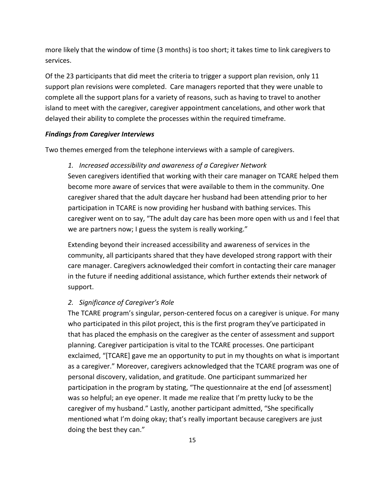more likely that the window of time (3 months) is too short; it takes time to link caregivers to services.

Of the 23 participants that did meet the criteria to trigger a support plan revision, only 11 support plan revisions were completed. Care managers reported that they were unable to complete all the support plans for a variety of reasons, such as having to travel to another island to meet with the caregiver, caregiver appointment cancelations, and other work that delayed their ability to complete the processes within the required timeframe.

#### *Findings from Caregiver Interviews*

Two themes emerged from the telephone interviews with a sample of caregivers.

#### *1. Increased accessibility and awareness of a Caregiver Network*

Seven caregivers identified that working with their care manager on TCARE helped them become more aware of services that were available to them in the community. One caregiver shared that the adult daycare her husband had been attending prior to her participation in TCARE is now providing her husband with bathing services. This caregiver went on to say, "The adult day care has been more open with us and I feel that we are partners now; I guess the system is really working."

Extending beyond their increased accessibility and awareness of services in the community, all participants shared that they have developed strong rapport with their care manager. Caregivers acknowledged their comfort in contacting their care manager in the future if needing additional assistance, which further extends their network of support.

#### *2. Significance of Caregiver's Role*

The TCARE program's singular, person-centered focus on a caregiver is unique. For many who participated in this pilot project, this is the first program they've participated in that has placed the emphasis on the caregiver as the center of assessment and support planning. Caregiver participation is vital to the TCARE processes. One participant exclaimed, "[TCARE] gave me an opportunity to put in my thoughts on what is important as a caregiver." Moreover, caregivers acknowledged that the TCARE program was one of personal discovery, validation, and gratitude. One participant summarized her participation in the program by stating, "The questionnaire at the end [of assessment] was so helpful; an eye opener. It made me realize that I'm pretty lucky to be the caregiver of my husband." Lastly, another participant admitted, "She specifically mentioned what I'm doing okay; that's really important because caregivers are just doing the best they can."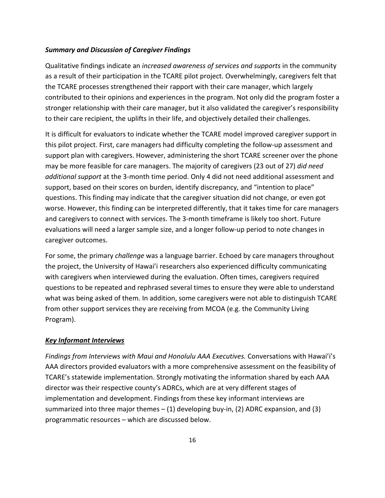#### *Summary and Discussion of Caregiver Findings*

Qualitative findings indicate an *increased awareness of services and supports* in the community as a result of their participation in the TCARE pilot project. Overwhelmingly, caregivers felt that the TCARE processes strengthened their rapport with their care manager, which largely contributed to their opinions and experiences in the program. Not only did the program foster a stronger relationship with their care manager, but it also validated the caregiver's responsibility to their care recipient, the uplifts in their life, and objectively detailed their challenges.

It is difficult for evaluators to indicate whether the TCARE model improved caregiver support in this pilot project. First, care managers had difficulty completing the follow-up assessment and support plan with caregivers. However, administering the short TCARE screener over the phone may be more feasible for care managers. The majority of caregivers (23 out of 27) *did need additional support* at the 3-month time period. Only 4 did not need additional assessment and support, based on their scores on burden, identify discrepancy, and "intention to place" questions. This finding may indicate that the caregiver situation did not change, or even got worse. However, this finding can be interpreted differently, that it takes time for care managers and caregivers to connect with services. The 3-month timeframe is likely too short. Future evaluations will need a larger sample size, and a longer follow-up period to note changes in caregiver outcomes.

For some, the primary *challenge* was a language barrier. Echoed by care managers throughout the project, the University of Hawai'i researchers also experienced difficulty communicating with caregivers when interviewed during the evaluation. Often times, caregivers required questions to be repeated and rephrased several times to ensure they were able to understand what was being asked of them. In addition, some caregivers were not able to distinguish TCARE from other support services they are receiving from MCOA (e.g. the Community Living Program).

#### *Key Informant Interviews*

*Findings from Interviews with Maui and Honolulu AAA Executives.* Conversations with Hawai'i's AAA directors provided evaluators with a more comprehensive assessment on the feasibility of TCARE's statewide implementation. Strongly motivating the information shared by each AAA director was their respective county's ADRCs, which are at very different stages of implementation and development. Findings from these key informant interviews are summarized into three major themes  $- (1)$  developing buy-in, (2) ADRC expansion, and (3) programmatic resources – which are discussed below.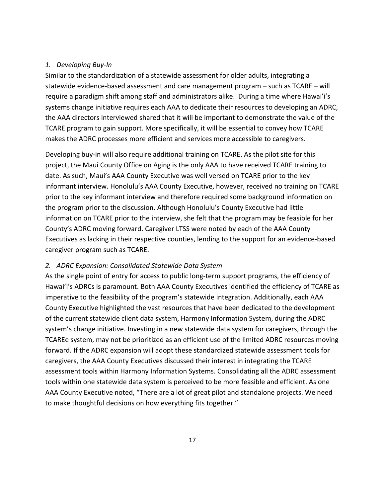#### *1. Developing Buy-In*

Similar to the standardization of a statewide assessment for older adults, integrating a statewide evidence-based assessment and care management program – such as TCARE – will require a paradigm shift among staff and administrators alike. During a time where Hawai'i's systems change initiative requires each AAA to dedicate their resources to developing an ADRC, the AAA directors interviewed shared that it will be important to demonstrate the value of the TCARE program to gain support. More specifically, it will be essential to convey how TCARE makes the ADRC processes more efficient and services more accessible to caregivers.

Developing buy-in will also require additional training on TCARE. As the pilot site for this project, the Maui County Office on Aging is the only AAA to have received TCARE training to date. As such, Maui's AAA County Executive was well versed on TCARE prior to the key informant interview. Honolulu's AAA County Executive, however, received no training on TCARE prior to the key informant interview and therefore required some background information on the program prior to the discussion. Although Honolulu's County Executive had little information on TCARE prior to the interview, she felt that the program may be feasible for her County's ADRC moving forward. Caregiver LTSS were noted by each of the AAA County Executives as lacking in their respective counties, lending to the support for an evidence-based caregiver program such as TCARE.

#### *2. ADRC Expansion: Consolidated Statewide Data System*

As the single point of entry for access to public long-term support programs, the efficiency of Hawai'i's ADRCs is paramount. Both AAA County Executives identified the efficiency of TCARE as imperative to the feasibility of the program's statewide integration. Additionally, each AAA County Executive highlighted the vast resources that have been dedicated to the development of the current statewide client data system, Harmony Information System, during the ADRC system's change initiative. Investing in a new statewide data system for caregivers, through the TCAREe system, may not be prioritized as an efficient use of the limited ADRC resources moving forward. If the ADRC expansion will adopt these standardized statewide assessment tools for caregivers, the AAA County Executives discussed their interest in integrating the TCARE assessment tools within Harmony Information Systems. Consolidating all the ADRC assessment tools within one statewide data system is perceived to be more feasible and efficient. As one AAA County Executive noted, "There are a lot of great pilot and standalone projects. We need to make thoughtful decisions on how everything fits together."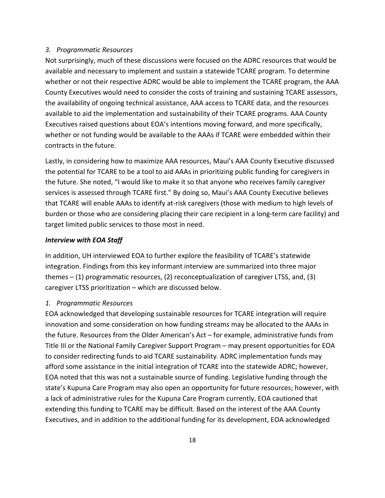#### *3. Programmatic Resources*

Not surprisingly, much of these discussions were focused on the ADRC resources that would be available and necessary to implement and sustain a statewide TCARE program. To determine whether or not their respective ADRC would be able to implement the TCARE program, the AAA County Executives would need to consider the costs of training and sustaining TCARE assessors, the availability of ongoing technical assistance, AAA access to TCARE data, and the resources available to aid the implementation and sustainability of their TCARE programs. AAA County Executives raised questions about EOA's intentions moving forward, and more specifically, whether or not funding would be available to the AAAs if TCARE were embedded within their contracts in the future.

Lastly, in considering how to maximize AAA resources, Maui's AAA County Executive discussed the potential for TCARE to be a tool to aid AAAs in prioritizing public funding for caregivers in the future. She noted, "I would like to make it so that anyone who receives family caregiver services is assessed through TCARE first." By doing so, Maui's AAA County Executive believes that TCARE will enable AAAs to identify at-risk caregivers (those with medium to high levels of burden or those who are considering placing their care recipient in a long-term care facility) and target limited public services to those most in need.

#### *Interview with EOA Staff*

In addition, UH interviewed EOA to further explore the feasibility of TCARE's statewide integration. Findings from this key informant interview are summarized into three major themes – (1) programmatic resources, (2) reconceptualization of caregiver LTSS, and, (3) caregiver LTSS prioritization – which are discussed below.

#### *1. Programmatic Resources*

EOA acknowledged that developing sustainable resources for TCARE integration will require innovation and some consideration on how funding streams may be allocated to the AAAs in the future. Resources from the Older American's Act – for example, administrative funds from Title III or the National Family Caregiver Support Program – may present opportunities for EOA to consider redirecting funds to aid TCARE sustainability. ADRC implementation funds may afford some assistance in the initial integration of TCARE into the statewide ADRC; however, EOA noted that this was not a sustainable source of funding. Legislative funding through the state's Kupuna Care Program may also open an opportunity for future resources; however, with a lack of administrative rules for the Kupuna Care Program currently, EOA cautioned that extending this funding to TCARE may be difficult. Based on the interest of the AAA County Executives, and in addition to the additional funding for its development, EOA acknowledged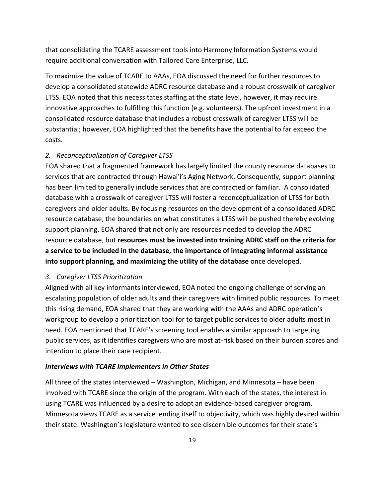that consolidating the TCARE assessment tools into Harmony Information Systems would require additional conversation with Tailored Care Enterprise, LLC.

To maximize the value of TCARE to AAAs, EOA discussed the need for further resources to develop a consolidated statewide ADRC resource database and a robust crosswalk of caregiver LTSS. EOA noted that this necessitates staffing at the state level, however, it may require innovative approaches to fulfilling this function (e.g. volunteers). The upfront investment in a consolidated resource database that includes a robust crosswalk of caregiver LTSS will be substantial; however, EOA highlighted that the benefits have the potential to far exceed the costs.

#### *2. Reconceptualization of Caregiver LTSS*

EOA shared that a fragmented framework has largely limited the county resource databases to services that are contracted through Hawai'i's Aging Network. Consequently, support planning has been limited to generally include services that are contracted or familiar. A consolidated database with a crosswalk of caregiver LTSS will foster a reconceptualization of LTSS for both caregivers and older adults. By focusing resources on the development of a consolidated ADRC resource database, the boundaries on what constitutes a LTSS will be pushed thereby evolving support planning. EOA shared that not only are resources needed to develop the ADRC resource database, but **resources must be invested into training ADRC staff on the criteria for a service to be included in the database, the importance of integrating informal assistance into support planning, and maximizing the utility of the database** once developed.

#### *3. Caregiver LTSS Prioritization*

Aligned with all key informants interviewed, EOA noted the ongoing challenge of serving an escalating population of older adults and their caregivers with limited public resources. To meet this rising demand, EOA shared that they are working with the AAAs and ADRC operation's workgroup to develop a prioritization tool for to target public services to older adults most in need. EOA mentioned that TCARE's screening tool enables a similar approach to targeting public services, as it identifies caregivers who are most at-risk based on their burden scores and intention to place their care recipient.

#### *Interviews with TCARE Implementers in Other States*

All three of the states interviewed – Washington, Michigan, and Minnesota – have been involved with TCARE since the origin of the program. With each of the states, the interest in using TCARE was influenced by a desire to adopt an evidence-based caregiver program. Minnesota views TCARE as a service lending itself to objectivity, which was highly desired within their state. Washington's legislature wanted to see discernible outcomes for their state's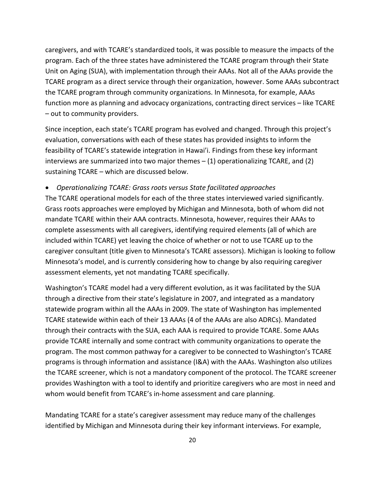caregivers, and with TCARE's standardized tools, it was possible to measure the impacts of the program. Each of the three states have administered the TCARE program through their State Unit on Aging (SUA), with implementation through their AAAs. Not all of the AAAs provide the TCARE program as a direct service through their organization, however. Some AAAs subcontract the TCARE program through community organizations. In Minnesota, for example, AAAs function more as planning and advocacy organizations, contracting direct services – like TCARE – out to community providers.

Since inception, each state's TCARE program has evolved and changed. Through this project's evaluation, conversations with each of these states has provided insights to inform the feasibility of TCARE's statewide integration in Hawai'i. Findings from these key informant interviews are summarized into two major themes – (1) operationalizing TCARE, and (2) sustaining TCARE – which are discussed below.

#### • *Operationalizing TCARE: Grass roots versus State facilitated approaches*

The TCARE operational models for each of the three states interviewed varied significantly. Grass roots approaches were employed by Michigan and Minnesota, both of whom did not mandate TCARE within their AAA contracts. Minnesota, however, requires their AAAs to complete assessments with all caregivers, identifying required elements (all of which are included within TCARE) yet leaving the choice of whether or not to use TCARE up to the caregiver consultant (title given to Minnesota's TCARE assessors). Michigan is looking to follow Minnesota's model, and is currently considering how to change by also requiring caregiver assessment elements, yet not mandating TCARE specifically.

Washington's TCARE model had a very different evolution, as it was facilitated by the SUA through a directive from their state's legislature in 2007, and integrated as a mandatory statewide program within all the AAAs in 2009. The state of Washington has implemented TCARE statewide within each of their 13 AAAs (4 of the AAAs are also ADRCs). Mandated through their contracts with the SUA, each AAA is required to provide TCARE. Some AAAs provide TCARE internally and some contract with community organizations to operate the program. The most common pathway for a caregiver to be connected to Washington's TCARE programs is through information and assistance (I&A) with the AAAs. Washington also utilizes the TCARE screener, which is not a mandatory component of the protocol. The TCARE screener provides Washington with a tool to identify and prioritize caregivers who are most in need and whom would benefit from TCARE's in-home assessment and care planning.

Mandating TCARE for a state's caregiver assessment may reduce many of the challenges identified by Michigan and Minnesota during their key informant interviews. For example,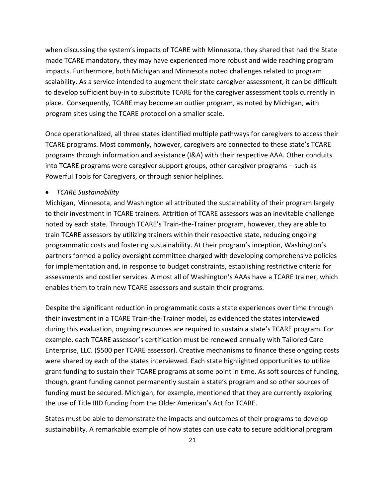when discussing the system's impacts of TCARE with Minnesota, they shared that had the State made TCARE mandatory, they may have experienced more robust and wide reaching program impacts. Furthermore, both Michigan and Minnesota noted challenges related to program scalability. As a service intended to augment their state caregiver assessment, it can be difficult to develop sufficient buy-in to substitute TCARE for the caregiver assessment tools currently in place. Consequently, TCARE may become an outlier program, as noted by Michigan, with program sites using the TCARE protocol on a smaller scale.

Once operationalized, all three states identified multiple pathways for caregivers to access their TCARE programs. Most commonly, however, caregivers are connected to these state's TCARE programs through information and assistance (I&A) with their respective AAA. Other conduits into TCARE programs were caregiver support groups, other caregiver programs – such as Powerful Tools for Caregivers, or through senior helplines.

#### • *TCARE Sustainability*

Michigan, Minnesota, and Washington all attributed the sustainability of their program largely to their investment in TCARE trainers. Attrition of TCARE assessors was an inevitable challenge noted by each state. Through TCARE's Train-the-Trainer program, however, they are able to train TCARE assessors by utilizing trainers within their respective state, reducing ongoing programmatic costs and fostering sustainability. At their program's inception, Washington's partners formed a policy oversight committee charged with developing comprehensive policies for implementation and, in response to budget constraints, establishing restrictive criteria for assessments and costlier services. Almost all of Washington's AAAs have a TCARE trainer, which enables them to train new TCARE assessors and sustain their programs.

Despite the significant reduction in programmatic costs a state experiences over time through their investment in a TCARE Train-the-Trainer model, as evidenced the states interviewed during this evaluation, ongoing resources are required to sustain a state's TCARE program. For example, each TCARE assessor's certification must be renewed annually with Tailored Care Enterprise, LLC. (\$500 per TCARE assessor). Creative mechanisms to finance these ongoing costs were shared by each of the states interviewed. Each state highlighted opportunities to utilize grant funding to sustain their TCARE programs at some point in time. As soft sources of funding, though, grant funding cannot permanently sustain a state's program and so other sources of funding must be secured. Michigan, for example, mentioned that they are currently exploring the use of Title IIID funding from the Older American's Act for TCARE.

States must be able to demonstrate the impacts and outcomes of their programs to develop sustainability. A remarkable example of how states can use data to secure additional program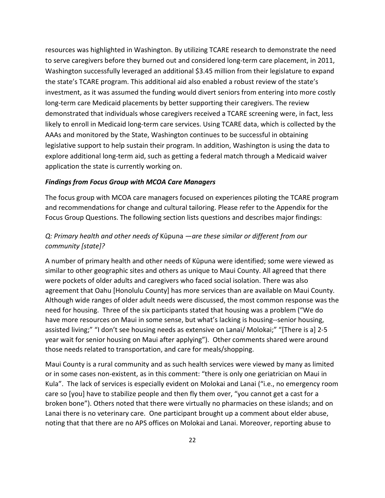resources was highlighted in Washington. By utilizing TCARE research to demonstrate the need to serve caregivers before they burned out and considered long-term care placement, in 2011, Washington successfully leveraged an additional \$3.45 million from their legislature to expand the state's TCARE program. This additional aid also enabled a robust review of the state's investment, as it was assumed the funding would divert seniors from entering into more costly long-term care Medicaid placements by better supporting their caregivers. The review demonstrated that individuals whose caregivers received a TCARE screening were, in fact, less likely to enroll in Medicaid long-term care services. Using TCARE data, which is collected by the AAAs and monitored by the State, Washington continues to be successful in obtaining legislative support to help sustain their program. In addition, Washington is using the data to explore additional long-term aid, such as getting a federal match through a Medicaid waiver application the state is currently working on.

#### *Findings from Focus Group with MCOA Care Managers*

The focus group with MCOA care managers focused on experiences piloting the TCARE program and recommendations for change and cultural tailoring. Please refer to the Appendix for the Focus Group Questions. The following section lists questions and describes major findings:

## *Q: Primary health and other needs of* Kūpuna *—are these similar or different from our community [state]?*

A number of primary health and other needs of Kūpuna were identified; some were viewed as similar to other geographic sites and others as unique to Maui County. All agreed that there were pockets of older adults and caregivers who faced social isolation. There was also agreement that Oahu [Honolulu County] has more services than are available on Maui County. Although wide ranges of older adult needs were discussed, the most common response was the need for housing. Three of the six participants stated that housing was a problem ("We do have more resources on Maui in some sense, but what's lacking is housing--senior housing, assisted living;" "I don't see housing needs as extensive on Lanai/ Molokai;" "[There is a] 2-5 year wait for senior housing on Maui after applying"). Other comments shared were around those needs related to transportation, and care for meals/shopping.

Maui County is a rural community and as such health services were viewed by many as limited or in some cases non-existent, as in this comment: "there is only one geriatrician on Maui in Kula". The lack of services is especially evident on Molokai and Lanai ("i.e., no emergency room care so [you] have to stabilize people and then fly them over, "you cannot get a cast for a broken bone"). Others noted that there were virtually no pharmacies on these islands; and on Lanai there is no veterinary care. One participant brought up a comment about elder abuse, noting that that there are no APS offices on Molokai and Lanai. Moreover, reporting abuse to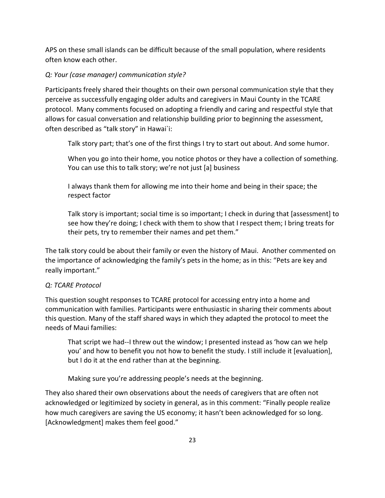APS on these small islands can be difficult because of the small population, where residents often know each other.

## *Q: Your (case manager) communication style?*

Participants freely shared their thoughts on their own personal communication style that they perceive as successfully engaging older adults and caregivers in Maui County in the TCARE protocol. Many comments focused on adopting a friendly and caring and respectful style that allows for casual conversation and relationship building prior to beginning the assessment, often described as "talk story" in Hawai`i:

Talk story part; that's one of the first things I try to start out about. And some humor.

When you go into their home, you notice photos or they have a collection of something. You can use this to talk story; we're not just [a] business

I always thank them for allowing me into their home and being in their space; the respect factor

Talk story is important; social time is so important; I check in during that [assessment] to see how they're doing; I check with them to show that I respect them; I bring treats for their pets, try to remember their names and pet them."

The talk story could be about their family or even the history of Maui. Another commented on the importance of acknowledging the family's pets in the home; as in this: "Pets are key and really important."

#### *Q: TCARE Protocol*

This question sought responses to TCARE protocol for accessing entry into a home and communication with families. Participants were enthusiastic in sharing their comments about this question. Many of the staff shared ways in which they adapted the protocol to meet the needs of Maui families:

That script we had--I threw out the window; I presented instead as 'how can we help you' and how to benefit you not how to benefit the study. I still include it [evaluation], but I do it at the end rather than at the beginning.

Making sure you're addressing people's needs at the beginning.

They also shared their own observations about the needs of caregivers that are often not acknowledged or legitimized by society in general, as in this comment: "Finally people realize how much caregivers are saving the US economy; it hasn't been acknowledged for so long. [Acknowledgment] makes them feel good."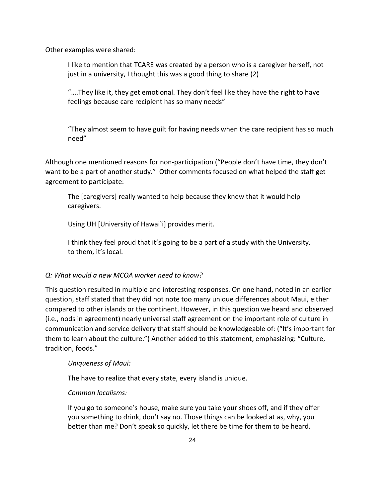Other examples were shared:

I like to mention that TCARE was created by a person who is a caregiver herself, not just in a university, I thought this was a good thing to share (2)

"….They like it, they get emotional. They don't feel like they have the right to have feelings because care recipient has so many needs"

"They almost seem to have guilt for having needs when the care recipient has so much need"

Although one mentioned reasons for non-participation ("People don't have time, they don't want to be a part of another study." Other comments focused on what helped the staff get agreement to participate:

The [caregivers] really wanted to help because they knew that it would help caregivers.

Using UH [University of Hawai`i] provides merit.

I think they feel proud that it's going to be a part of a study with the University. to them, it's local.

#### *Q: What would a new MCOA worker need to know?*

This question resulted in multiple and interesting responses. On one hand, noted in an earlier question, staff stated that they did not note too many unique differences about Maui, either compared to other islands or the continent. However, in this question we heard and observed (i.e., nods in agreement) nearly universal staff agreement on the important role of culture in communication and service delivery that staff should be knowledgeable of: ("It's important for them to learn about the culture.") Another added to this statement, emphasizing: "Culture, tradition, foods."

*Uniqueness of Maui:*

The have to realize that every state, every island is unique.

#### *Common localisms:*

If you go to someone's house, make sure you take your shoes off, and if they offer you something to drink, don't say no. Those things can be looked at as, why, you better than me? Don't speak so quickly, let there be time for them to be heard.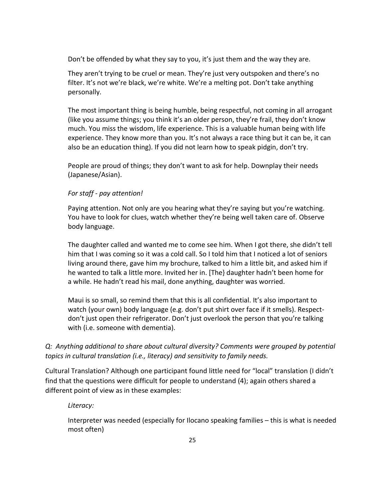Don't be offended by what they say to you, it's just them and the way they are.

They aren't trying to be cruel or mean. They're just very outspoken and there's no filter. It's not we're black, we're white. We're a melting pot. Don't take anything personally.

The most important thing is being humble, being respectful, not coming in all arrogant (like you assume things; you think it's an older person, they're frail, they don't know much. You miss the wisdom, life experience. This is a valuable human being with life experience. They know more than you. It's not always a race thing but it can be, it can also be an education thing). If you did not learn how to speak pidgin, don't try.

People are proud of things; they don't want to ask for help. Downplay their needs (Japanese/Asian).

#### *For staff - pay attention!*

Paying attention. Not only are you hearing what they're saying but you're watching. You have to look for clues, watch whether they're being well taken care of. Observe body language.

The daughter called and wanted me to come see him. When I got there, she didn't tell him that I was coming so it was a cold call. So I told him that I noticed a lot of seniors living around there, gave him my brochure, talked to him a little bit, and asked him if he wanted to talk a little more. Invited her in. [The} daughter hadn't been home for a while. He hadn't read his mail, done anything, daughter was worried.

Maui is so small, so remind them that this is all confidential. It's also important to watch (your own) body language (e.g. don't put shirt over face if it smells). Respectdon't just open their refrigerator. Don't just overlook the person that you're talking with (i.e. someone with dementia).

## *Q: Anything additional to share about cultural diversity? Comments were grouped by potential topics in cultural translation (i.e., literacy) and sensitivity to family needs.*

Cultural Translation? Although one participant found little need for "local" translation (I didn't find that the questions were difficult for people to understand (4); again others shared a different point of view as in these examples:

#### *Literacy:*

Interpreter was needed (especially for Ilocano speaking families – this is what is needed most often)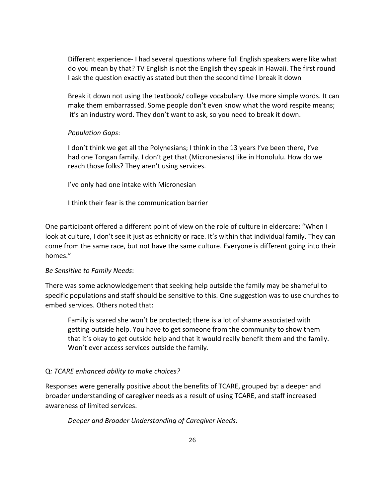Different experience- I had several questions where full English speakers were like what do you mean by that? TV English is not the English they speak in Hawaii. The first round I ask the question exactly as stated but then the second time I break it down

Break it down not using the textbook/ college vocabulary. Use more simple words. It can make them embarrassed. Some people don't even know what the word respite means; it's an industry word. They don't want to ask, so you need to break it down.

#### *Population Gaps*:

I don't think we get all the Polynesians; I think in the 13 years I've been there, I've had one Tongan family. I don't get that (Micronesians) like in Honolulu. How do we reach those folks? They aren't using services.

I've only had one intake with Micronesian

I think their fear is the communication barrier

One participant offered a different point of view on the role of culture in eldercare: "When I look at culture, I don't see it just as ethnicity or race. It's within that individual family. They can come from the same race, but not have the same culture. Everyone is different going into their homes."

#### *Be Sensitive to Family Needs*:

There was some acknowledgement that seeking help outside the family may be shameful to specific populations and staff should be sensitive to this. One suggestion was to use churches to embed services. Others noted that:

Family is scared she won't be protected; there is a lot of shame associated with getting outside help. You have to get someone from the community to show them that it's okay to get outside help and that it would really benefit them and the family. Won't ever access services outside the family.

## Q*: TCARE enhanced ability to make choices?*

Responses were generally positive about the benefits of TCARE, grouped by: a deeper and broader understanding of caregiver needs as a result of using TCARE, and staff increased awareness of limited services.

*Deeper and Broader Understanding of Caregiver Needs:*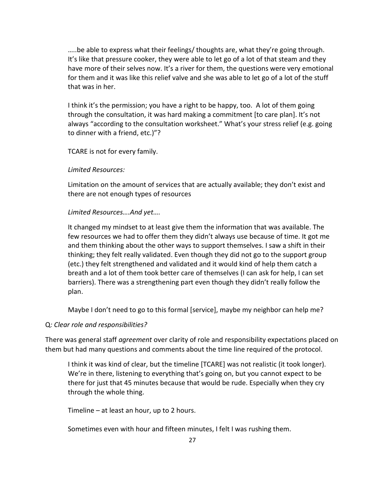…..be able to express what their feelings/ thoughts are, what they're going through. It's like that pressure cooker, they were able to let go of a lot of that steam and they have more of their selves now. It's a river for them, the questions were very emotional for them and it was like this relief valve and she was able to let go of a lot of the stuff that was in her.

I think it's the permission; you have a right to be happy, too. A lot of them going through the consultation, it was hard making a commitment [to care plan]. It's not always "according to the consultation worksheet." What's your stress relief (e.g. going to dinner with a friend, etc.)"?

TCARE is not for every family.

#### *Limited Resources:*

Limitation on the amount of services that are actually available; they don't exist and there are not enough types of resources

#### *Limited Resources….And yet….*

It changed my mindset to at least give them the information that was available. The few resources we had to offer them they didn't always use because of time. It got me and them thinking about the other ways to support themselves. I saw a shift in their thinking; they felt really validated. Even though they did not go to the support group (etc.) they felt strengthened and validated and it would kind of help them catch a breath and a lot of them took better care of themselves (I can ask for help, I can set barriers). There was a strengthening part even though they didn't really follow the plan.

Maybe I don't need to go to this formal [service], maybe my neighbor can help me?

#### Q*: Clear role and responsibilities?*

There was general staff *agreement* over clarity of role and responsibility expectations placed on them but had many questions and comments about the time line required of the protocol.

I think it was kind of clear, but the timeline [TCARE] was not realistic (it took longer). We're in there, listening to everything that's going on, but you cannot expect to be there for just that 45 minutes because that would be rude. Especially when they cry through the whole thing.

Timeline – at least an hour, up to 2 hours.

Sometimes even with hour and fifteen minutes, I felt I was rushing them.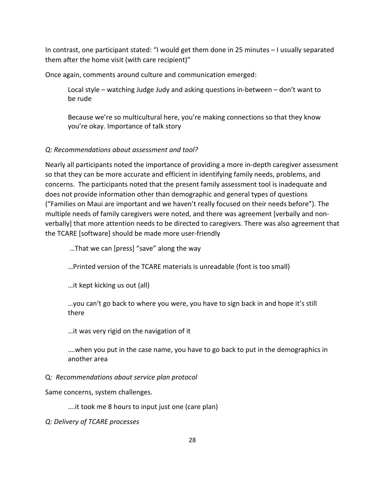In contrast, one participant stated: "I would get them done in 25 minutes – I usually separated them after the home visit (with care recipient)"

Once again, comments around culture and communication emerged:

Local style – watching Judge Judy and asking questions in-between – don't want to be rude

Because we're so multicultural here, you're making connections so that they know you're okay. Importance of talk story

## *Q: Recommendations about assessment and tool?*

Nearly all participants noted the importance of providing a more in-depth caregiver assessment so that they can be more accurate and efficient in identifying family needs, problems, and concerns. The participants noted that the present family assessment tool is inadequate and does not provide information other than demographic and general types of questions ("Families on Maui are important and we haven't really focused on their needs before"). The multiple needs of family caregivers were noted, and there was agreement [verbally and nonverbally] that more attention needs to be directed to caregivers. There was also agreement that the TCARE [software] should be made more user-friendly

…That we can [press] "save" along the way

…Printed version of the TCARE materials is unreadable (font is too small)

…it kept kicking us out (all)

…you can't go back to where you were, you have to sign back in and hope it's still there

…it was very rigid on the navigation of it

….when you put in the case name, you have to go back to put in the demographics in another area

Q*: Recommendations about service plan protocol*

Same concerns, system challenges.

….it took me 8 hours to input just one (care plan)

*Q: Delivery of TCARE processes*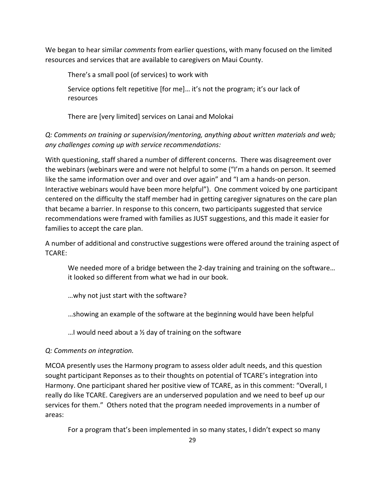We began to hear similar *comments* from earlier questions, with many focused on the limited resources and services that are available to caregivers on Maui County.

There's a small pool (of services) to work with

Service options felt repetitive [for me]… it's not the program; it's our lack of resources

There are [very limited] services on Lanai and Molokai

*Q: Comments on training or supervision/mentoring, anything about written materials and web; any challenges coming up with service recommendations:*

With questioning, staff shared a number of different concerns. There was disagreement over the webinars (webinars were and were not helpful to some ("I'm a hands on person. It seemed like the same information over and over and over again" and "I am a hands-on person. Interactive webinars would have been more helpful"). One comment voiced by one participant centered on the difficulty the staff member had in getting caregiver signatures on the care plan that became a barrier. In response to this concern, two participants suggested that service recommendations were framed with families as JUST suggestions, and this made it easier for families to accept the care plan.

A number of additional and constructive suggestions were offered around the training aspect of TCARE:

We needed more of a bridge between the 2-day training and training on the software... it looked so different from what we had in our book.

…why not just start with the software?

…showing an example of the software at the beginning would have been helpful

...I would need about a  $\frac{1}{2}$  day of training on the software

## *Q: Comments on integration.*

MCOA presently uses the Harmony program to assess older adult needs, and this question sought participant Reponses as to their thoughts on potential of TCARE's integration into Harmony. One participant shared her positive view of TCARE, as in this comment: "Overall, I really do like TCARE. Caregivers are an underserved population and we need to beef up our services for them." Others noted that the program needed improvements in a number of areas:

For a program that's been implemented in so many states, I didn't expect so many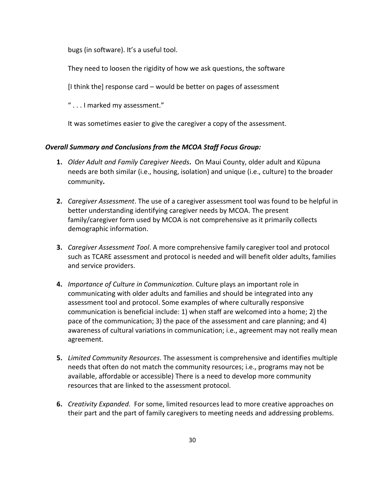bugs (in software). It's a useful tool.

They need to loosen the rigidity of how we ask questions, the software

[I think the] response card – would be better on pages of assessment

" . . . I marked my assessment."

It was sometimes easier to give the caregiver a copy of the assessment.

#### *Overall Summary and Conclusions from the MCOA Staff Focus Group:*

- **1.** *Older Adult and Family Caregiver Needs***.** On Maui County, older adult and Kūpuna needs are both similar (i.e., housing, isolation) and unique (i.e., culture) to the broader community**.**
- **2.** *Caregiver Assessment*. The use of a caregiver assessment tool was found to be helpful in better understanding identifying caregiver needs by MCOA. The present family/caregiver form used by MCOA is not comprehensive as it primarily collects demographic information.
- **3.** *Caregiver Assessment Tool*. A more comprehensive family caregiver tool and protocol such as TCARE assessment and protocol is needed and will benefit older adults, families and service providers.
- **4.** *Importance of Culture in Communication*. Culture plays an important role in communicating with older adults and families and should be integrated into any assessment tool and protocol. Some examples of where culturally responsive communication is beneficial include: 1) when staff are welcomed into a home; 2) the pace of the communication; 3) the pace of the assessment and care planning; and 4) awareness of cultural variations in communication; i.e., agreement may not really mean agreement.
- **5.** *Limited Community Resources*. The assessment is comprehensive and identifies multiple needs that often do not match the community resources; i.e., programs may not be available, affordable or accessible) There is a need to develop more community resources that are linked to the assessment protocol.
- **6.** *Creativity Expanded*. For some, limited resources lead to more creative approaches on their part and the part of family caregivers to meeting needs and addressing problems.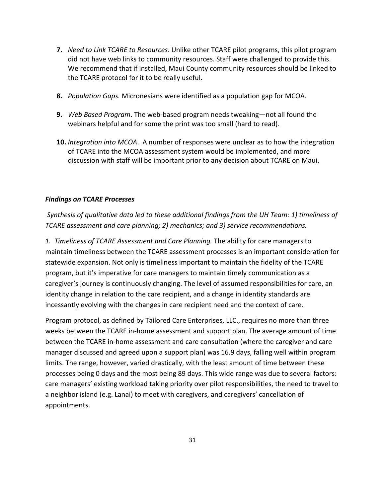- **7.** *Need to Link TCARE to Resources*. Unlike other TCARE pilot programs, this pilot program did not have web links to community resources. Staff were challenged to provide this. We recommend that if installed, Maui County community resources should be linked to the TCARE protocol for it to be really useful.
- **8.** *Population Gaps.* Micronesians were identified as a population gap for MCOA.
- **9.** *Web Based Program*. The web-based program needs tweaking—not all found the webinars helpful and for some the print was too small (hard to read).
- **10.** *Integration into MCOA*. A number of responses were unclear as to how the integration of TCARE into the MCOA assessment system would be implemented, and more discussion with staff will be important prior to any decision about TCARE on Maui.

#### *Findings on TCARE Processes*

*Synthesis of qualitative data led to these additional findings from the UH Team: 1) timeliness of TCARE assessment and care planning; 2) mechanics; and 3) service recommendations.*

*1. Timeliness of TCARE Assessment and Care Planning.* The ability for care managers to maintain timeliness between the TCARE assessment processes is an important consideration for statewide expansion. Not only is timeliness important to maintain the fidelity of the TCARE program, but it's imperative for care managers to maintain timely communication as a caregiver's journey is continuously changing. The level of assumed responsibilities for care, an identity change in relation to the care recipient, and a change in identity standards are incessantly evolving with the changes in care recipient need and the context of care.

Program protocol, as defined by Tailored Care Enterprises, LLC., requires no more than three weeks between the TCARE in-home assessment and support plan. The average amount of time between the TCARE in-home assessment and care consultation (where the caregiver and care manager discussed and agreed upon a support plan) was 16.9 days, falling well within program limits. The range, however, varied drastically, with the least amount of time between these processes being 0 days and the most being 89 days. This wide range was due to several factors: care managers' existing workload taking priority over pilot responsibilities, the need to travel to a neighbor island (e.g. Lanai) to meet with caregivers, and caregivers' cancellation of appointments.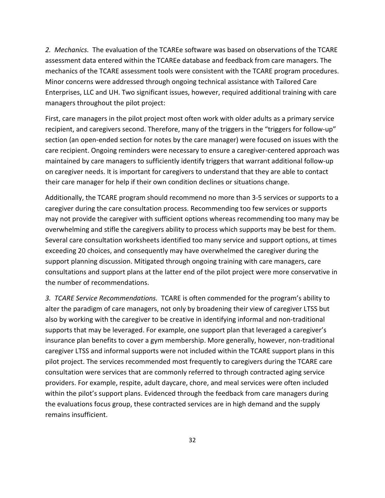*2. Mechanics.* The evaluation of the TCAREe software was based on observations of the TCARE assessment data entered within the TCAREe database and feedback from care managers. The mechanics of the TCARE assessment tools were consistent with the TCARE program procedures. Minor concerns were addressed through ongoing technical assistance with Tailored Care Enterprises, LLC and UH. Two significant issues, however, required additional training with care managers throughout the pilot project:

First, care managers in the pilot project most often work with older adults as a primary service recipient, and caregivers second. Therefore, many of the triggers in the "triggers for follow-up" section (an open-ended section for notes by the care manager) were focused on issues with the care recipient. Ongoing reminders were necessary to ensure a caregiver-centered approach was maintained by care managers to sufficiently identify triggers that warrant additional follow-up on caregiver needs. It is important for caregivers to understand that they are able to contact their care manager for help if their own condition declines or situations change.

Additionally, the TCARE program should recommend no more than 3-5 services or supports to a caregiver during the care consultation process. Recommending too few services or supports may not provide the caregiver with sufficient options whereas recommending too many may be overwhelming and stifle the caregivers ability to process which supports may be best for them. Several care consultation worksheets identified too many service and support options, at times exceeding 20 choices, and consequently may have overwhelmed the caregiver during the support planning discussion. Mitigated through ongoing training with care managers, care consultations and support plans at the latter end of the pilot project were more conservative in the number of recommendations.

*3. TCARE Service Recommendations.* TCARE is often commended for the program's ability to alter the paradigm of care managers, not only by broadening their view of caregiver LTSS but also by working with the caregiver to be creative in identifying informal and non-traditional supports that may be leveraged. For example, one support plan that leveraged a caregiver's insurance plan benefits to cover a gym membership. More generally, however, non-traditional caregiver LTSS and informal supports were not included within the TCARE support plans in this pilot project. The services recommended most frequently to caregivers during the TCARE care consultation were services that are commonly referred to through contracted aging service providers. For example, respite, adult daycare, chore, and meal services were often included within the pilot's support plans. Evidenced through the feedback from care managers during the evaluations focus group, these contracted services are in high demand and the supply remains insufficient.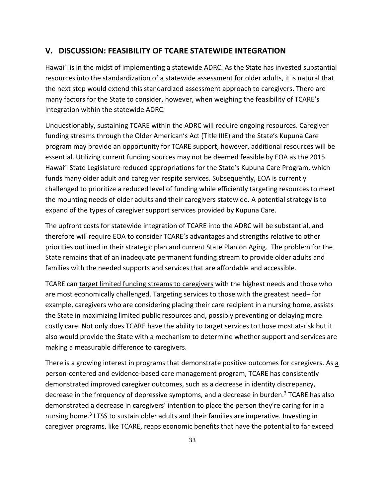## **V. DISCUSSION: FEASIBILITY OF TCARE STATEWIDE INTEGRATION**

Hawai'i is in the midst of implementing a statewide ADRC. As the State has invested substantial resources into the standardization of a statewide assessment for older adults, it is natural that the next step would extend this standardized assessment approach to caregivers. There are many factors for the State to consider, however, when weighing the feasibility of TCARE's integration within the statewide ADRC.

Unquestionably, sustaining TCARE within the ADRC will require ongoing resources. Caregiver funding streams through the Older American's Act (Title IIIE) and the State's Kupuna Care program may provide an opportunity for TCARE support, however, additional resources will be essential. Utilizing current funding sources may not be deemed feasible by EOA as the 2015 Hawai'i State Legislature reduced appropriations for the State's Kupuna Care Program, which funds many older adult and caregiver respite services. Subsequently, EOA is currently challenged to prioritize a reduced level of funding while efficiently targeting resources to meet the mounting needs of older adults and their caregivers statewide. A potential strategy is to expand of the types of caregiver support services provided by Kupuna Care.

The upfront costs for statewide integration of TCARE into the ADRC will be substantial, and therefore will require EOA to consider TCARE's advantages and strengths relative to other priorities outlined in their strategic plan and current State Plan on Aging. The problem for the State remains that of an inadequate permanent funding stream to provide older adults and families with the needed supports and services that are affordable and accessible.

TCARE can target limited funding streams to caregivers with the highest needs and those who are most economically challenged. Targeting services to those with the greatest need– for example, caregivers who are considering placing their care recipient in a nursing home, assists the State in maximizing limited public resources and, possibly preventing or delaying more costly care. Not only does TCARE have the ability to target services to those most at-risk but it also would provide the State with a mechanism to determine whether support and services are making a measurable difference to caregivers.

There is a growing interest in programs that demonstrate positive outcomes for caregivers. As a person-centered and evidence-based care management program, TCARE has consistently demonstrated improved caregiver outcomes, such as a decrease in identity discrepancy, decrease in the frequency of depressive symptoms, and a decrease in burden.<sup>3</sup> TCARE has also demonstrated a decrease in caregivers' intention to place the person they're caring for in a nursing home.3 LTSS to sustain older adults and their families are imperative. Investing in caregiver programs, like TCARE, reaps economic benefits that have the potential to far exceed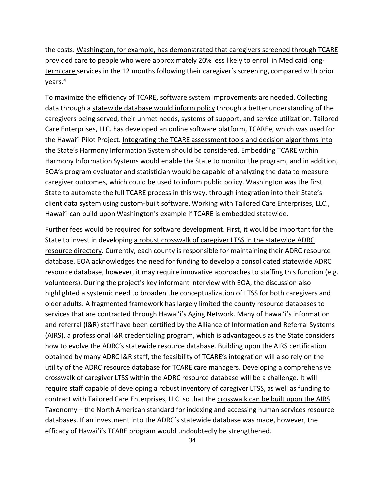the costs. Washington, for example, has demonstrated that caregivers screened through TCARE provided care to people who were approximately 20% less likely to enroll in Medicaid longterm care services in the 12 months following their caregiver's screening, compared with prior years.4

To maximize the efficiency of TCARE, software system improvements are needed. Collecting data through a statewide database would inform policy through a better understanding of the caregivers being served, their unmet needs, systems of support, and service utilization. Tailored Care Enterprises, LLC. has developed an online software platform, TCAREe, which was used for the Hawai'i Pilot Project. Integrating the TCARE assessment tools and decision algorithms into the State's Harmony Information System should be considered. Embedding TCARE within Harmony Information Systems would enable the State to monitor the program, and in addition, EOA's program evaluator and statistician would be capable of analyzing the data to measure caregiver outcomes, which could be used to inform public policy. Washington was the first State to automate the full TCARE process in this way, through integration into their State's client data system using custom-built software. Working with Tailored Care Enterprises, LLC., Hawai'i can build upon Washington's example if TCARE is embedded statewide.

Further fees would be required for software development. First, it would be important for the State to invest in developing a robust crosswalk of caregiver LTSS in the statewide ADRC resource directory. Currently, each county is responsible for maintaining their ADRC resource database. EOA acknowledges the need for funding to develop a consolidated statewide ADRC resource database, however, it may require innovative approaches to staffing this function (e.g. volunteers). During the project's key informant interview with EOA, the discussion also highlighted a systemic need to broaden the conceptualization of LTSS for both caregivers and older adults. A fragmented framework has largely limited the county resource databases to services that are contracted through Hawai'i's Aging Network. Many of Hawai'i's information and referral (I&R) staff have been certified by the Alliance of Information and Referral Systems (AIRS), a professional I&R credentialing program, which is advantageous as the State considers how to evolve the ADRC's statewide resource database. Building upon the AIRS certification obtained by many ADRC I&R staff, the feasibility of TCARE's integration will also rely on the utility of the ADRC resource database for TCARE care managers. Developing a comprehensive crosswalk of caregiver LTSS within the ADRC resource database will be a challenge. It will require staff capable of developing a robust inventory of caregiver LTSS, as well as funding to contract with Tailored Care Enterprises, LLC. so that the crosswalk can be built upon the AIRS Taxonomy – the North American standard for indexing and accessing human services resource databases. If an investment into the ADRC's statewide database was made, however, the efficacy of Hawai'i's TCARE program would undoubtedly be strengthened.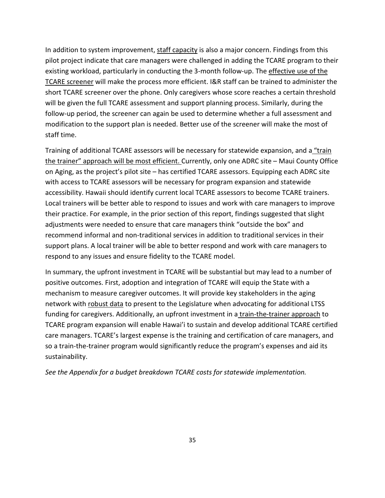In addition to system improvement, staff capacity is also a major concern. Findings from this pilot project indicate that care managers were challenged in adding the TCARE program to their existing workload, particularly in conducting the 3-month follow-up. The effective use of the TCARE screener will make the process more efficient. I&R staff can be trained to administer the short TCARE screener over the phone. Only caregivers whose score reaches a certain threshold will be given the full TCARE assessment and support planning process. Similarly, during the follow-up period, the screener can again be used to determine whether a full assessment and modification to the support plan is needed. Better use of the screener will make the most of staff time.

Training of additional TCARE assessors will be necessary for statewide expansion, and a "train the trainer" approach will be most efficient. Currently, only one ADRC site – Maui County Office on Aging, as the project's pilot site – has certified TCARE assessors. Equipping each ADRC site with access to TCARE assessors will be necessary for program expansion and statewide accessibility. Hawaii should identify current local TCARE assessors to become TCARE trainers. Local trainers will be better able to respond to issues and work with care managers to improve their practice. For example, in the prior section of this report, findings suggested that slight adjustments were needed to ensure that care managers think "outside the box" and recommend informal and non-traditional services in addition to traditional services in their support plans. A local trainer will be able to better respond and work with care managers to respond to any issues and ensure fidelity to the TCARE model.

In summary, the upfront investment in TCARE will be substantial but may lead to a number of positive outcomes. First, adoption and integration of TCARE will equip the State with a mechanism to measure caregiver outcomes. It will provide key stakeholders in the aging network with robust data to present to the Legislature when advocating for additional LTSS funding for caregivers. Additionally, an upfront investment in a train-the-trainer approach to TCARE program expansion will enable Hawai'i to sustain and develop additional TCARE certified care managers. TCARE's largest expense is the training and certification of care managers, and so a train-the-trainer program would significantly reduce the program's expenses and aid its sustainability.

*See the Appendix for a budget breakdown TCARE costs for statewide implementation.*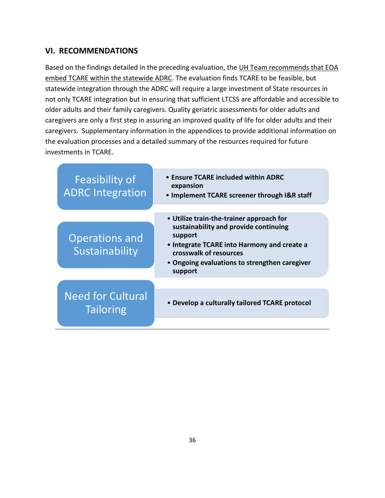## **VI. RECOMMENDATIONS**

Based on the findings detailed in the preceding evaluation, the UH Team recommends that EOA embed TCARE within the statewide ADRC. The evaluation finds TCARE to be feasible, but statewide integration through the ADRC will require a large investment of State resources in not only TCARE integration but in ensuring that sufficient LTCSS are affordable and accessible to older adults and their family caregivers. Quality geriatric assessments for older adults and caregivers are only a first step in assuring an improved quality of life for older adults and their caregivers. Supplementary information in the appendices to provide additional information on the evaluation processes and a detailed summary of the resources required for future investments in TCARE.

| Feasibility of<br><b>ADRC Integration</b>    | • Ensure TCARE included within ADRC<br>expansion<br>• Implement TCARE screener through I&R staff                                                                                                                                  |
|----------------------------------------------|-----------------------------------------------------------------------------------------------------------------------------------------------------------------------------------------------------------------------------------|
| <b>Operations and</b><br>Sustainability      | • Utilize train-the-trainer approach for<br>sustainability and provide continuing<br>support<br>• Integrate TCARE into Harmony and create a<br>crosswalk of resources<br>• Ongoing evaluations to strengthen caregiver<br>support |
| <b>Need for Cultural</b><br><b>Tailoring</b> | • Develop a culturally tailored TCARE protocol                                                                                                                                                                                    |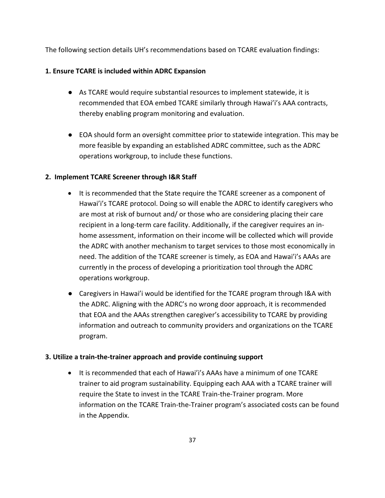The following section details UH's recommendations based on TCARE evaluation findings:

## **1. Ensure TCARE is included within ADRC Expansion**

- As TCARE would require substantial resources to implement statewide, it is recommended that EOA embed TCARE similarly through Hawai'i's AAA contracts, thereby enabling program monitoring and evaluation.
- EOA should form an oversight committee prior to statewide integration. This may be more feasible by expanding an established ADRC committee, such as the ADRC operations workgroup, to include these functions.

## **2. Implement TCARE Screener through I&R Staff**

- It is recommended that the State require the TCARE screener as a component of Hawai'i's TCARE protocol. Doing so will enable the ADRC to identify caregivers who are most at risk of burnout and/ or those who are considering placing their care recipient in a long-term care facility. Additionally, if the caregiver requires an inhome assessment, information on their income will be collected which will provide the ADRC with another mechanism to target services to those most economically in need. The addition of the TCARE screener is timely, as EOA and Hawai'i's AAAs are currently in the process of developing a prioritization tool through the ADRC operations workgroup.
- Caregivers in Hawai'i would be identified for the TCARE program through I&A with the ADRC. Aligning with the ADRC's no wrong door approach, it is recommended that EOA and the AAAs strengthen caregiver's accessibility to TCARE by providing information and outreach to community providers and organizations on the TCARE program.

#### **3. Utilize a train-the-trainer approach and provide continuing support**

• It is recommended that each of Hawai'i's AAAs have a minimum of one TCARE trainer to aid program sustainability. Equipping each AAA with a TCARE trainer will require the State to invest in the TCARE Train-the-Trainer program. More information on the TCARE Train-the-Trainer program's associated costs can be found in the Appendix.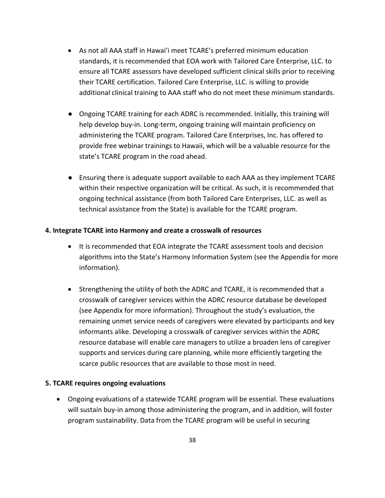- As not all AAA staff in Hawai'i meet TCARE's preferred minimum education standards, it is recommended that EOA work with Tailored Care Enterprise, LLC. to ensure all TCARE assessors have developed sufficient clinical skills prior to receiving their TCARE certification. Tailored Care Enterprise, LLC. is willing to provide additional clinical training to AAA staff who do not meet these minimum standards.
- Ongoing TCARE training for each ADRC is recommended. Initially, this training will help develop buy-in. Long-term, ongoing training will maintain proficiency on administering the TCARE program. Tailored Care Enterprises, Inc. has offered to provide free webinar trainings to Hawaii, which will be a valuable resource for the state's TCARE program in the road ahead.
- Ensuring there is adequate support available to each AAA as they implement TCARE within their respective organization will be critical. As such, it is recommended that ongoing technical assistance (from both Tailored Care Enterprises, LLC. as well as technical assistance from the State) is available for the TCARE program.

#### **4. Integrate TCARE into Harmony and create a crosswalk of resources**

- It is recommended that EOA integrate the TCARE assessment tools and decision algorithms into the State's Harmony Information System (see the Appendix for more information).
- Strengthening the utility of both the ADRC and TCARE, it is recommended that a crosswalk of caregiver services within the ADRC resource database be developed (see Appendix for more information). Throughout the study's evaluation, the remaining unmet service needs of caregivers were elevated by participants and key informants alike. Developing a crosswalk of caregiver services within the ADRC resource database will enable care managers to utilize a broaden lens of caregiver supports and services during care planning, while more efficiently targeting the scarce public resources that are available to those most in need.

#### **5. TCARE requires ongoing evaluations**

• Ongoing evaluations of a statewide TCARE program will be essential. These evaluations will sustain buy-in among those administering the program, and in addition, will foster program sustainability. Data from the TCARE program will be useful in securing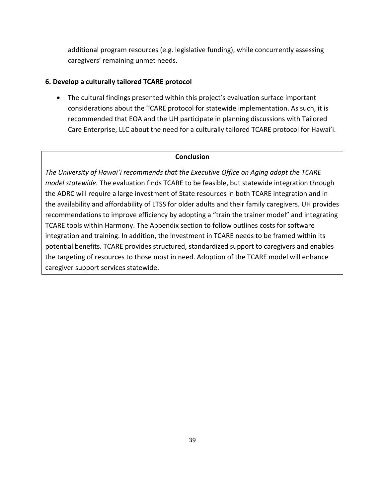additional program resources (e.g. legislative funding), while concurrently assessing caregivers' remaining unmet needs.

#### **6. Develop a culturally tailored TCARE protocol**

• The cultural findings presented within this project's evaluation surface important considerations about the TCARE protocol for statewide implementation. As such, it is recommended that EOA and the UH participate in planning discussions with Tailored Care Enterprise, LLC about the need for a culturally tailored TCARE protocol for Hawai'i.

#### **Conclusion**

*The University of Hawai`i recommends that the Executive Office on Aging adopt the TCARE model statewide.* The evaluation finds TCARE to be feasible, but statewide integration through the ADRC will require a large investment of State resources in both TCARE integration and in the availability and affordability of LTSS for older adults and their family caregivers. UH provides recommendations to improve efficiency by adopting a "train the trainer model" and integrating TCARE tools within Harmony. The Appendix section to follow outlines costs for software integration and training. In addition, the investment in TCARE needs to be framed within its potential benefits. TCARE provides structured, standardized support to caregivers and enables the targeting of resources to those most in need. Adoption of the TCARE model will enhance caregiver support services statewide.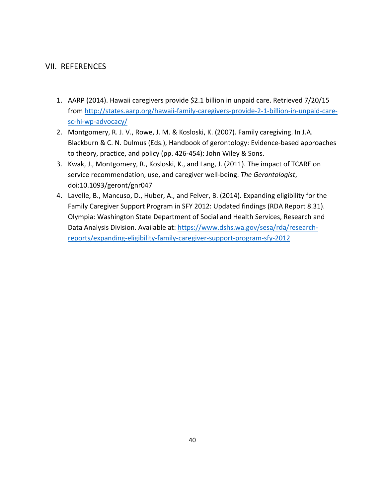## VII. REFERENCES

- 1. AARP (2014). Hawaii caregivers provide \$2.1 billion in unpaid care. Retrieved 7/20/15 from [http://states.aarp.org/hawaii-family-caregivers-provide-2-1-billion-in-unpaid-care](http://states.aarp.org/hawaii-family-caregivers-provide-2-1-billion-in-unpaid-care-sc-hi-wp-advocacy/)[sc-hi-wp-advocacy/](http://states.aarp.org/hawaii-family-caregivers-provide-2-1-billion-in-unpaid-care-sc-hi-wp-advocacy/)
- 2. Montgomery, R. J. V., Rowe, J. M. & Kosloski, K. (2007). Family caregiving. In J.A. Blackburn & C. N. Dulmus (Eds.), Handbook of gerontology: Evidence-based approaches to theory, practice, and policy (pp. 426-454): John Wiley & Sons.
- 3. Kwak, J., Montgomery, R., Kosloski, K., and Lang, J. (2011). The impact of TCARE on service recommendation, use, and caregiver well-being. *The Gerontologist*, doi:10.1093/geront/gnr047
- 4. Lavelle, B., Mancuso, D., Huber, A., and Felver, B. (2014). Expanding eligibility for the Family Caregiver Support Program in SFY 2012: Updated findings (RDA Report 8.31). Olympia: Washington State Department of Social and Health Services, Research and Data Analysis Division. Available at: [https://www.dshs.wa.gov/sesa/rda/research](https://www.dshs.wa.gov/sesa/rda/research-reports/expanding-eligibility-family-caregiver-support-program-sfy-2012)[reports/expanding-eligibility-family-caregiver-support-program-sfy-2012](https://www.dshs.wa.gov/sesa/rda/research-reports/expanding-eligibility-family-caregiver-support-program-sfy-2012)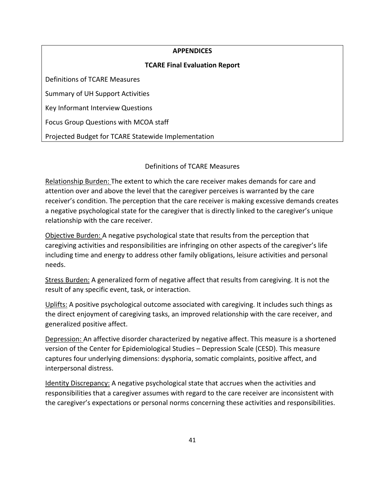| <b>APPENDICES</b>                                   |  |  |
|-----------------------------------------------------|--|--|
| <b>TCARE Final Evaluation Report</b>                |  |  |
| Definitions of TCARE Measures                       |  |  |
| Summary of UH Support Activities                    |  |  |
| Key Informant Interview Questions                   |  |  |
| Focus Group Questions with MCOA staff               |  |  |
| Projected Budget for TCARE Statewide Implementation |  |  |

## Definitions of TCARE Measures

Relationship Burden: The extent to which the care receiver makes demands for care and attention over and above the level that the caregiver perceives is warranted by the care receiver's condition. The perception that the care receiver is making excessive demands creates a negative psychological state for the caregiver that is directly linked to the caregiver's unique relationship with the care receiver.

Objective Burden: A negative psychological state that results from the perception that caregiving activities and responsibilities are infringing on other aspects of the caregiver's life including time and energy to address other family obligations, leisure activities and personal needs.

Stress Burden: A generalized form of negative affect that results from caregiving. It is not the result of any specific event, task, or interaction.

Uplifts: A positive psychological outcome associated with caregiving. It includes such things as the direct enjoyment of caregiving tasks, an improved relationship with the care receiver, and generalized positive affect.

Depression: An affective disorder characterized by negative affect. This measure is a shortened version of the Center for Epidemiological Studies – Depression Scale (CESD). This measure captures four underlying dimensions: dysphoria, somatic complaints, positive affect, and interpersonal distress.

Identity Discrepancy: A negative psychological state that accrues when the activities and responsibilities that a caregiver assumes with regard to the care receiver are inconsistent with the caregiver's expectations or personal norms concerning these activities and responsibilities.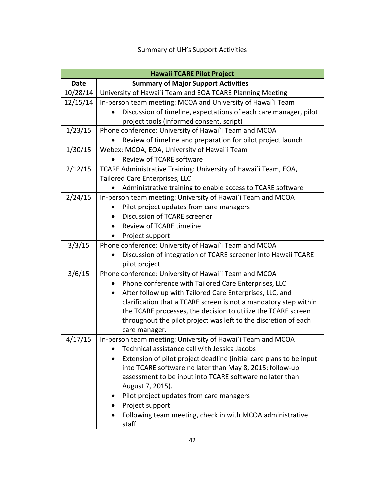## Summary of UH's Support Activities

| <b>Hawaii TCARE Pilot Project</b> |                                                                       |  |
|-----------------------------------|-----------------------------------------------------------------------|--|
| <b>Date</b>                       | <b>Summary of Major Support Activities</b>                            |  |
| 10/28/14                          | University of Hawai'i Team and EOA TCARE Planning Meeting             |  |
| 12/15/14                          | In-person team meeting: MCOA and University of Hawai'i Team           |  |
|                                   | Discussion of timeline, expectations of each care manager, pilot      |  |
|                                   | project tools (informed consent, script)                              |  |
| 1/23/15                           | Phone conference: University of Hawai'i Team and MCOA                 |  |
|                                   | Review of timeline and preparation for pilot project launch           |  |
| 1/30/15                           | Webex: MCOA, EOA, University of Hawai`i Team                          |  |
|                                   | Review of TCARE software                                              |  |
| 2/12/15                           | TCARE Administrative Training: University of Hawai`i Team, EOA,       |  |
|                                   | Tailored Care Enterprises, LLC                                        |  |
|                                   | Administrative training to enable access to TCARE software            |  |
| 2/24/15                           | In-person team meeting: University of Hawai'i Team and MCOA           |  |
|                                   | Pilot project updates from care managers                              |  |
|                                   | Discussion of TCARE screener                                          |  |
|                                   | Review of TCARE timeline                                              |  |
|                                   | Project support                                                       |  |
| 3/3/15                            | Phone conference: University of Hawai'i Team and MCOA                 |  |
|                                   | Discussion of integration of TCARE screener into Hawaii TCARE         |  |
|                                   | pilot project                                                         |  |
| 3/6/15                            | Phone conference: University of Hawai'i Team and MCOA                 |  |
|                                   | Phone conference with Tailored Care Enterprises, LLC                  |  |
|                                   | After follow up with Tailored Care Enterprises, LLC, and<br>$\bullet$ |  |
|                                   | clarification that a TCARE screen is not a mandatory step within      |  |
|                                   | the TCARE processes, the decision to utilize the TCARE screen         |  |
|                                   | throughout the pilot project was left to the discretion of each       |  |
|                                   | care manager.                                                         |  |
| 4/17/15                           | In-person team meeting: University of Hawai'i Team and MCOA           |  |
|                                   | Technical assistance call with Jessica Jacobs                         |  |
|                                   | Extension of pilot project deadline (initial care plans to be input   |  |
|                                   | into TCARE software no later than May 8, 2015; follow-up              |  |
|                                   | assessment to be input into TCARE software no later than              |  |
|                                   | August 7, 2015).                                                      |  |
|                                   | Pilot project updates from care managers                              |  |
|                                   | Project support                                                       |  |
|                                   | Following team meeting, check in with MCOA administrative             |  |
|                                   | staff                                                                 |  |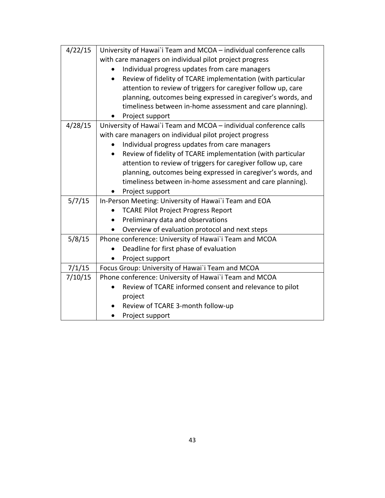| 4/22/15 | University of Hawai'i Team and MCOA - individual conference calls |
|---------|-------------------------------------------------------------------|
|         | with care managers on individual pilot project progress           |
|         | Individual progress updates from care managers                    |
|         | Review of fidelity of TCARE implementation (with particular       |
|         | attention to review of triggers for caregiver follow up, care     |
|         | planning, outcomes being expressed in caregiver's words, and      |
|         | timeliness between in-home assessment and care planning).         |
|         | Project support                                                   |
| 4/28/15 | University of Hawai'i Team and MCOA - individual conference calls |
|         | with care managers on individual pilot project progress           |
|         | Individual progress updates from care managers                    |
|         | Review of fidelity of TCARE implementation (with particular       |
|         | attention to review of triggers for caregiver follow up, care     |
|         | planning, outcomes being expressed in caregiver's words, and      |
|         | timeliness between in-home assessment and care planning).         |
|         | Project support                                                   |
| 5/7/15  | In-Person Meeting: University of Hawai'i Team and EOA             |
|         | <b>TCARE Pilot Project Progress Report</b>                        |
|         | Preliminary data and observations                                 |
|         | Overview of evaluation protocol and next steps                    |
| 5/8/15  | Phone conference: University of Hawai'i Team and MCOA             |
|         | Deadline for first phase of evaluation                            |
|         | Project support                                                   |
| 7/1/15  | Focus Group: University of Hawai'i Team and MCOA                  |
| 7/10/15 | Phone conference: University of Hawai'i Team and MCOA             |
|         | Review of TCARE informed consent and relevance to pilot           |
|         | project                                                           |
|         | Review of TCARE 3-month follow-up                                 |
|         | Project support                                                   |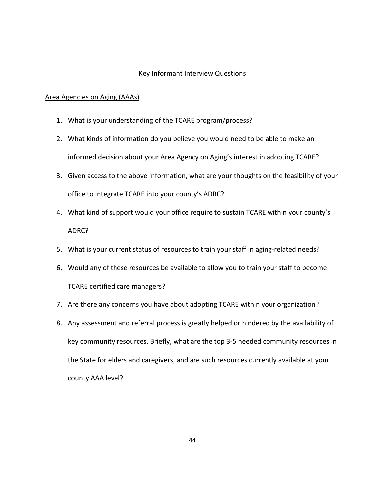#### Key Informant Interview Questions

#### Area Agencies on Aging (AAAs)

- 1. What is your understanding of the TCARE program/process?
- 2. What kinds of information do you believe you would need to be able to make an informed decision about your Area Agency on Aging's interest in adopting TCARE?
- 3. Given access to the above information, what are your thoughts on the feasibility of your office to integrate TCARE into your county's ADRC?
- 4. What kind of support would your office require to sustain TCARE within your county's ADRC?
- 5. What is your current status of resources to train your staff in aging-related needs?
- 6. Would any of these resources be available to allow you to train your staff to become TCARE certified care managers?
- 7. Are there any concerns you have about adopting TCARE within your organization?
- 8. Any assessment and referral process is greatly helped or hindered by the availability of key community resources. Briefly, what are the top 3-5 needed community resources in the State for elders and caregivers, and are such resources currently available at your county AAA level?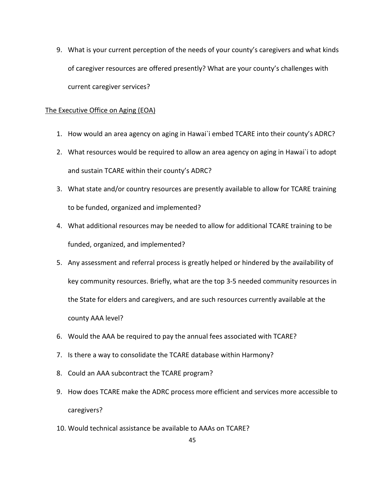9. What is your current perception of the needs of your county's caregivers and what kinds of caregiver resources are offered presently? What are your county's challenges with current caregiver services?

#### The Executive Office on Aging (EOA)

- 1. How would an area agency on aging in Hawai`i embed TCARE into their county's ADRC?
- 2. What resources would be required to allow an area agency on aging in Hawai`i to adopt and sustain TCARE within their county's ADRC?
- 3. What state and/or country resources are presently available to allow for TCARE training to be funded, organized and implemented?
- 4. What additional resources may be needed to allow for additional TCARE training to be funded, organized, and implemented?
- 5. Any assessment and referral process is greatly helped or hindered by the availability of key community resources. Briefly, what are the top 3-5 needed community resources in the State for elders and caregivers, and are such resources currently available at the county AAA level?
- 6. Would the AAA be required to pay the annual fees associated with TCARE?
- 7. Is there a way to consolidate the TCARE database within Harmony?
- 8. Could an AAA subcontract the TCARE program?
- 9. How does TCARE make the ADRC process more efficient and services more accessible to caregivers?
- 10. Would technical assistance be available to AAAs on TCARE?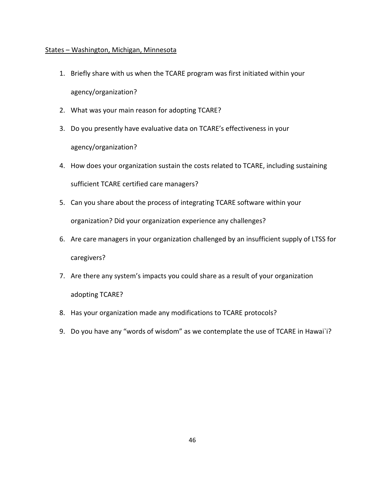#### States – Washington, Michigan, Minnesota

- 1. Briefly share with us when the TCARE program was first initiated within your agency/organization?
- 2. What was your main reason for adopting TCARE?
- 3. Do you presently have evaluative data on TCARE's effectiveness in your agency/organization?
- 4. How does your organization sustain the costs related to TCARE, including sustaining sufficient TCARE certified care managers?
- 5. Can you share about the process of integrating TCARE software within your organization? Did your organization experience any challenges?
- 6. Are care managers in your organization challenged by an insufficient supply of LTSS for caregivers?
- 7. Are there any system's impacts you could share as a result of your organization adopting TCARE?
- 8. Has your organization made any modifications to TCARE protocols?
- 9. Do you have any "words of wisdom" as we contemplate the use of TCARE in Hawai`i?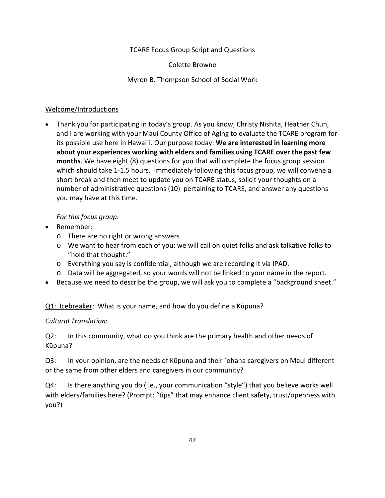TCARE Focus Group Script and Questions

Colette Browne

Myron B. Thompson School of Social Work

## Welcome/Introductions

• Thank you for participating in today's group. As you know, Christy Nishita, Heather Chun, and I are working with your Maui County Office of Aging to evaluate the TCARE program for its possible use here in Hawai`i. Our purpose today: **We are interested in learning more about your experiences working with elders and families using TCARE over the past few months**. We have eight (8) questions for you that will complete the focus group session which should take 1-1.5 hours. Immediately following this focus group, we will convene a short break and then meet to update you on TCARE status, solicit your thoughts on a number of administrative questions (10) pertaining to TCARE, and answer any questions you may have at this time.

## *For this focus group:*

- Remember:
	- o There are no right or wrong answers
	- o We want to hear from each of you; we will call on quiet folks and ask talkative folks to "hold that thought."
	- o Everything you say is confidential, although we are recording it via IPAD.
	- o Data will be aggregated, so your words will not be linked to your name in the report.
- Because we need to describe the group, we will ask you to complete a "background sheet."

Q1: Icebreaker: What is your name, and how do you define a Kūpuna?

## *Cultural Translation*:

Q2: In this community, what do you think are the primary health and other needs of Kūpuna?

Q3: In your opinion, are the needs of Kūpuna and their `ohana caregivers on Maui different or the same from other elders and caregivers in our community?

Q4: Is there anything you do (i.e., your communication "style") that you believe works well with elders/families here? (Prompt: "tips" that may enhance client safety, trust/openness with you?)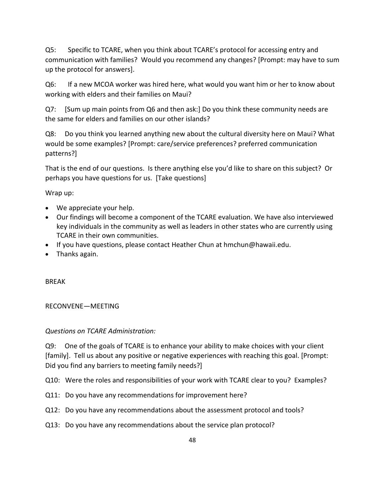Q5: Specific to TCARE, when you think about TCARE's protocol for accessing entry and communication with families? Would you recommend any changes? [Prompt: may have to sum up the protocol for answers].

Q6: If a new MCOA worker was hired here, what would you want him or her to know about working with elders and their families on Maui?

Q7: [Sum up main points from Q6 and then ask:] Do you think these community needs are the same for elders and families on our other islands?

Q8: Do you think you learned anything new about the cultural diversity here on Maui? What would be some examples? [Prompt: care/service preferences? preferred communication patterns?]

That is the end of our questions. Is there anything else you'd like to share on this subject? Or perhaps you have questions for us. [Take questions]

Wrap up:

- We appreciate your help.
- Our findings will become a component of the TCARE evaluation. We have also interviewed key individuals in the community as well as leaders in other states who are currently using TCARE in their own communities.
- If you have questions, please contact Heather Chun at hmchun@hawaii.edu.
- Thanks again.

BREAK

#### RECONVENE—MEETING

#### *Questions on TCARE Administration:*

Q9: One of the goals of TCARE is to enhance your ability to make choices with your client [family]. Tell us about any positive or negative experiences with reaching this goal. [Prompt: Did you find any barriers to meeting family needs?]

Q10: Were the roles and responsibilities of your work with TCARE clear to you? Examples?

- Q11: Do you have any recommendations for improvement here?
- Q12: Do you have any recommendations about the assessment protocol and tools?
- Q13: Do you have any recommendations about the service plan protocol?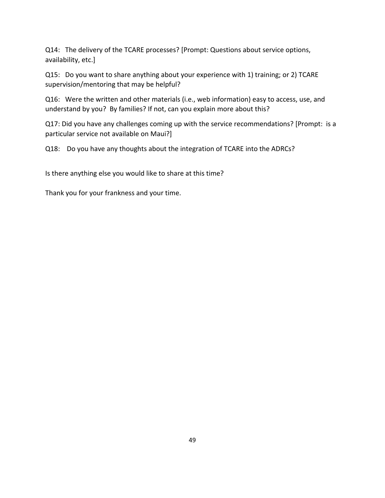Q14: The delivery of the TCARE processes? [Prompt: Questions about service options, availability, etc.]

Q15: Do you want to share anything about your experience with 1) training; or 2) TCARE supervision/mentoring that may be helpful?

Q16: Were the written and other materials (i.e., web information) easy to access, use, and understand by you? By families? If not, can you explain more about this?

Q17: Did you have any challenges coming up with the service recommendations? [Prompt: is a particular service not available on Maui?]

Q18: Do you have any thoughts about the integration of TCARE into the ADRCs?

Is there anything else you would like to share at this time?

Thank you for your frankness and your time.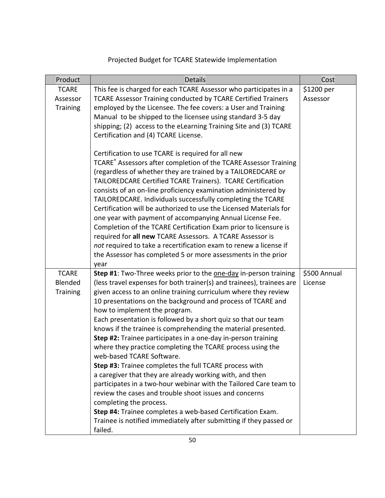## Projected Budget for TCARE Statewide Implementation

| Product         | <b>Details</b>                                                                                                                | Cost         |
|-----------------|-------------------------------------------------------------------------------------------------------------------------------|--------------|
| <b>TCARE</b>    | This fee is charged for each TCARE Assessor who participates in a                                                             | \$1200 per   |
| Assessor        | TCARE Assessor Training conducted by TCARE Certified Trainers                                                                 | Assessor     |
| <b>Training</b> | employed by the Licensee. The fee covers: a User and Training                                                                 |              |
|                 | Manual to be shipped to the licensee using standard 3-5 day                                                                   |              |
|                 | shipping; (2) access to the eLearning Training Site and (3) TCARE                                                             |              |
|                 | Certification and (4) TCARE License.                                                                                          |              |
|                 |                                                                                                                               |              |
|                 | Certification to use TCARE is required for all new                                                                            |              |
|                 | TCARE® Assessors after completion of the TCARE Assessor Training                                                              |              |
|                 | (regardless of whether they are trained by a TAILOREDCARE or                                                                  |              |
|                 | TAILOREDCARE Certified TCARE Trainers). TCARE Certification<br>consists of an on-line proficiency examination administered by |              |
|                 | TAILOREDCARE. Individuals successfully completing the TCARE                                                                   |              |
|                 | Certification will be authorized to use the Licensed Materials for                                                            |              |
|                 | one year with payment of accompanying Annual License Fee.                                                                     |              |
|                 | Completion of the TCARE Certification Exam prior to licensure is                                                              |              |
|                 | required for all new TCARE Assessors. A TCARE Assessor is                                                                     |              |
|                 | not required to take a recertification exam to renew a license if                                                             |              |
|                 | the Assessor has completed 5 or more assessments in the prior                                                                 |              |
|                 | year                                                                                                                          |              |
| <b>TCARE</b>    | Step #1: Two-Three weeks prior to the one-day in-person training                                                              | \$500 Annual |
| Blended         | (less travel expenses for both trainer(s) and trainees), trainees are                                                         | License      |
| <b>Training</b> | given access to an online training curriculum where they review                                                               |              |
|                 | 10 presentations on the background and process of TCARE and                                                                   |              |
|                 | how to implement the program.                                                                                                 |              |
|                 | Each presentation is followed by a short quiz so that our team                                                                |              |
|                 | knows if the trainee is comprehending the material presented.                                                                 |              |
|                 | Step #2: Trainee participates in a one-day in-person training                                                                 |              |
|                 | where they practice completing the TCARE process using the                                                                    |              |
|                 | web-based TCARE Software.                                                                                                     |              |
|                 | Step #3: Trainee completes the full TCARE process with                                                                        |              |
|                 | a caregiver that they are already working with, and then                                                                      |              |
|                 | participates in a two-hour webinar with the Tailored Care team to                                                             |              |
|                 | review the cases and trouble shoot issues and concerns                                                                        |              |
|                 | completing the process.                                                                                                       |              |
|                 | Step #4: Trainee completes a web-based Certification Exam.                                                                    |              |
|                 | Trainee is notified immediately after submitting if they passed or                                                            |              |
|                 | failed.                                                                                                                       |              |